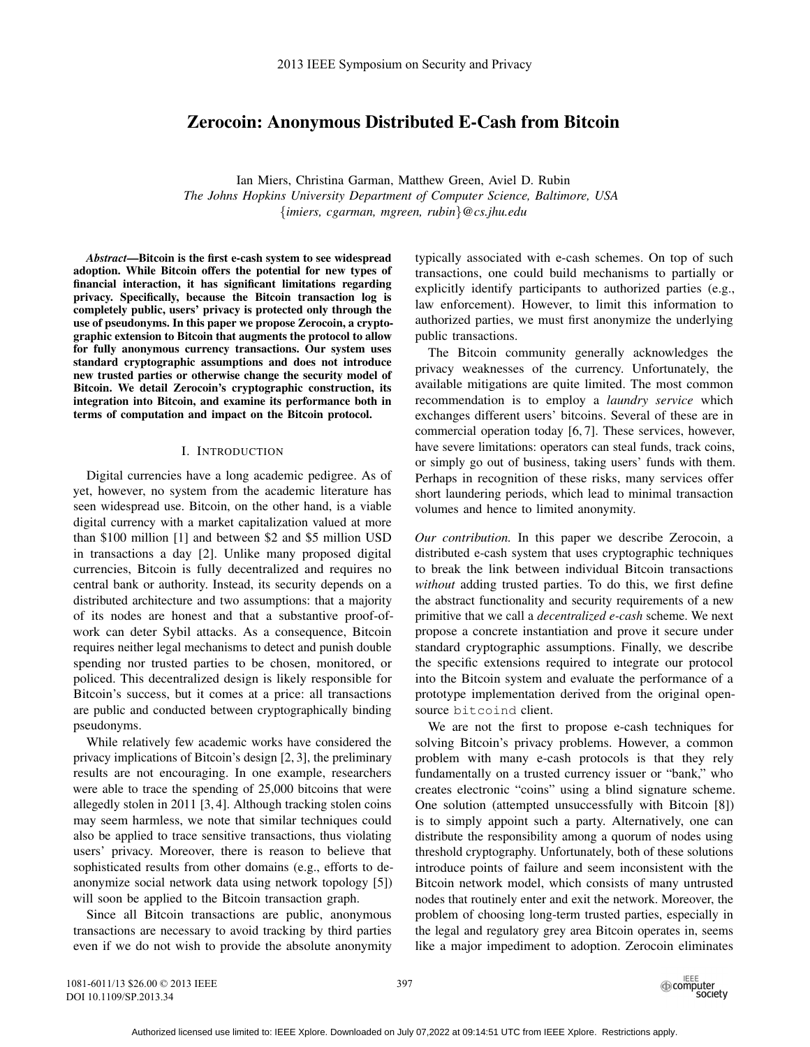# Zerocoin: Anonymous Distributed E-Cash from Bitcoin

Ian Miers, Christina Garman, Matthew Green, Aviel D. Rubin *The Johns Hopkins University Department of Computer Science, Baltimore, USA* {*imiers, cgarman, mgreen, rubin*}*@cs.jhu.edu*

*Abstract*—Bitcoin is the first e-cash system to see widespread adoption. While Bitcoin offers the potential for new types of financial interaction, it has significant limitations regarding privacy. Specifically, because the Bitcoin transaction log is completely public, users' privacy is protected only through the use of pseudonyms. In this paper we propose Zerocoin, a cryptographic extension to Bitcoin that augments the protocol to allow for fully anonymous currency transactions. Our system uses standard cryptographic assumptions and does not introduce new trusted parties or otherwise change the security model of Bitcoin. We detail Zerocoin's cryptographic construction, its integration into Bitcoin, and examine its performance both in terms of computation and impact on the Bitcoin protocol.

# I. INTRODUCTION

Digital currencies have a long academic pedigree. As of yet, however, no system from the academic literature has seen widespread use. Bitcoin, on the other hand, is a viable digital currency with a market capitalization valued at more than \$100 million [1] and between \$2 and \$5 million USD in transactions a day [2]. Unlike many proposed digital currencies, Bitcoin is fully decentralized and requires no central bank or authority. Instead, its security depends on a distributed architecture and two assumptions: that a majority of its nodes are honest and that a substantive proof-ofwork can deter Sybil attacks. As a consequence, Bitcoin requires neither legal mechanisms to detect and punish double spending nor trusted parties to be chosen, monitored, or policed. This decentralized design is likely responsible for Bitcoin's success, but it comes at a price: all transactions are public and conducted between cryptographically binding pseudonyms.

While relatively few academic works have considered the privacy implications of Bitcoin's design [2, 3], the preliminary results are not encouraging. In one example, researchers were able to trace the spending of 25,000 bitcoins that were allegedly stolen in 2011 [3, 4]. Although tracking stolen coins may seem harmless, we note that similar techniques could also be applied to trace sensitive transactions, thus violating users' privacy. Moreover, there is reason to believe that sophisticated results from other domains (e.g., efforts to deanonymize social network data using network topology [5]) will soon be applied to the Bitcoin transaction graph.

Since all Bitcoin transactions are public, anonymous transactions are necessary to avoid tracking by third parties even if we do not wish to provide the absolute anonymity typically associated with e-cash schemes. On top of such transactions, one could build mechanisms to partially or explicitly identify participants to authorized parties (e.g., law enforcement). However, to limit this information to authorized parties, we must first anonymize the underlying public transactions.

The Bitcoin community generally acknowledges the privacy weaknesses of the currency. Unfortunately, the available mitigations are quite limited. The most common recommendation is to employ a *laundry service* which exchanges different users' bitcoins. Several of these are in commercial operation today [6, 7]. These services, however, have severe limitations: operators can steal funds, track coins, or simply go out of business, taking users' funds with them. Perhaps in recognition of these risks, many services offer short laundering periods, which lead to minimal transaction volumes and hence to limited anonymity.

*Our contribution.* In this paper we describe Zerocoin, a distributed e-cash system that uses cryptographic techniques to break the link between individual Bitcoin transactions *without* adding trusted parties. To do this, we first define the abstract functionality and security requirements of a new primitive that we call a *decentralized e-cash* scheme. We next propose a concrete instantiation and prove it secure under standard cryptographic assumptions. Finally, we describe the specific extensions required to integrate our protocol into the Bitcoin system and evaluate the performance of a prototype implementation derived from the original opensource bitcoind client.

We are not the first to propose e-cash techniques for solving Bitcoin's privacy problems. However, a common problem with many e-cash protocols is that they rely fundamentally on a trusted currency issuer or "bank," who creates electronic "coins" using a blind signature scheme. One solution (attempted unsuccessfully with Bitcoin [8]) is to simply appoint such a party. Alternatively, one can distribute the responsibility among a quorum of nodes using threshold cryptography. Unfortunately, both of these solutions introduce points of failure and seem inconsistent with the Bitcoin network model, which consists of many untrusted nodes that routinely enter and exit the network. Moreover, the problem of choosing long-term trusted parties, especially in the legal and regulatory grey area Bitcoin operates in, seems like a major impediment to adoption. Zerocoin eliminates

1081-6011/13 \$26.00 © 2013 IEEE DOI 10.1109/SP.2013.34

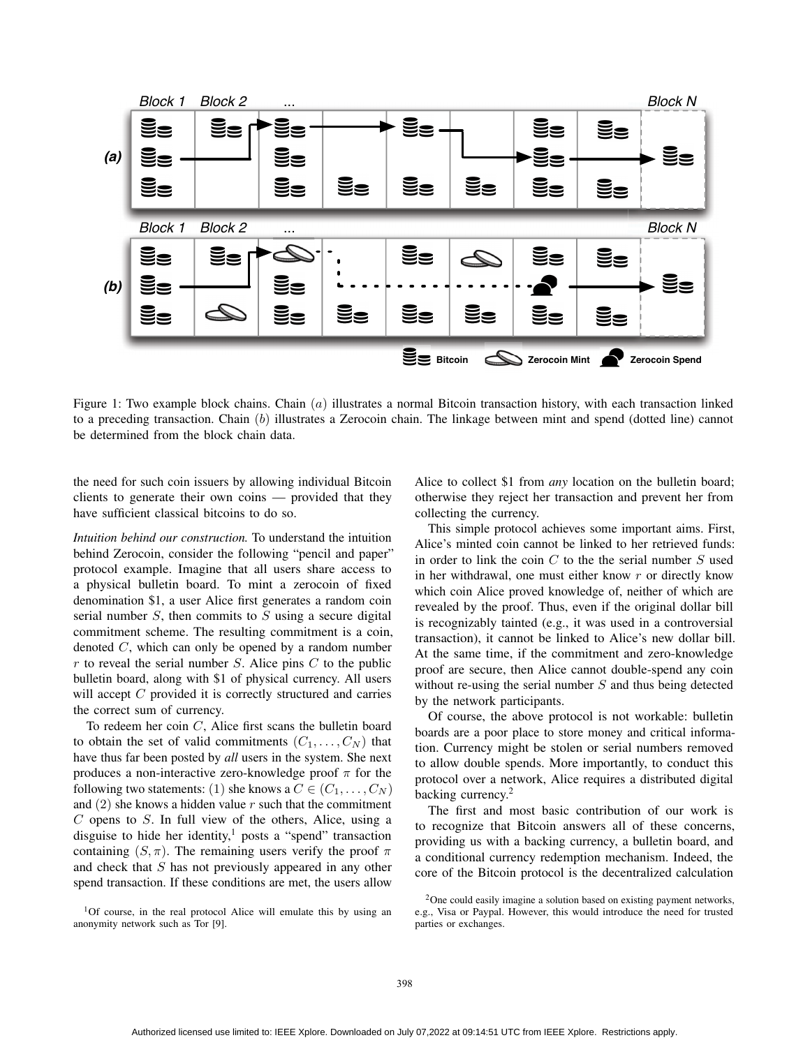

Figure 1: Two example block chains. Chain  $(a)$  illustrates a normal Bitcoin transaction history, with each transaction linked to a preceding transaction. Chain (b) illustrates a Zerocoin chain. The linkage between mint and spend (dotted line) cannot be determined from the block chain data.

the need for such coin issuers by allowing individual Bitcoin clients to generate their own coins — provided that they have sufficient classical bitcoins to do so.

*Intuition behind our construction.* To understand the intuition behind Zerocoin, consider the following "pencil and paper" protocol example. Imagine that all users share access to a physical bulletin board. To mint a zerocoin of fixed denomination \$1, a user Alice first generates a random coin serial number  $S$ , then commits to  $S$  using a secure digital commitment scheme. The resulting commitment is a coin, denoted C, which can only be opened by a random number  $r$  to reveal the serial number S. Alice pins  $C$  to the public bulletin board, along with \$1 of physical currency. All users will accept C provided it is correctly structured and carries the correct sum of currency.

To redeem her coin  $C$ , Alice first scans the bulletin board to obtain the set of valid commitments  $(C_1, \ldots, C_N)$  that have thus far been posted by *all* users in the system. She next produces a non-interactive zero-knowledge proof  $\pi$  for the following two statements: (1) she knows a  $C \in (C_1, \ldots, C_N)$ and  $(2)$  she knows a hidden value r such that the commitment  $C$  opens to  $S$ . In full view of the others, Alice, using a disguise to hide her identity,<sup>1</sup> posts a "spend" transaction containing  $(S, \pi)$ . The remaining users verify the proof  $\pi$ and check that S has not previously appeared in any other spend transaction. If these conditions are met, the users allow

<sup>1</sup>Of course, in the real protocol Alice will emulate this by using an anonymity network such as Tor [9].

Alice to collect \$1 from *any* location on the bulletin board; otherwise they reject her transaction and prevent her from collecting the currency.

This simple protocol achieves some important aims. First, Alice's minted coin cannot be linked to her retrieved funds: in order to link the coin  $C$  to the the serial number  $S$  used in her withdrawal, one must either know  $r$  or directly know which coin Alice proved knowledge of, neither of which are revealed by the proof. Thus, even if the original dollar bill is recognizably tainted (e.g., it was used in a controversial transaction), it cannot be linked to Alice's new dollar bill. At the same time, if the commitment and zero-knowledge proof are secure, then Alice cannot double-spend any coin without re-using the serial number  $S$  and thus being detected by the network participants.

Of course, the above protocol is not workable: bulletin boards are a poor place to store money and critical information. Currency might be stolen or serial numbers removed to allow double spends. More importantly, to conduct this protocol over a network, Alice requires a distributed digital backing currency.<sup>2</sup>

The first and most basic contribution of our work is to recognize that Bitcoin answers all of these concerns, providing us with a backing currency, a bulletin board, and a conditional currency redemption mechanism. Indeed, the core of the Bitcoin protocol is the decentralized calculation

<sup>2</sup>One could easily imagine a solution based on existing payment networks, e.g., Visa or Paypal. However, this would introduce the need for trusted parties or exchanges.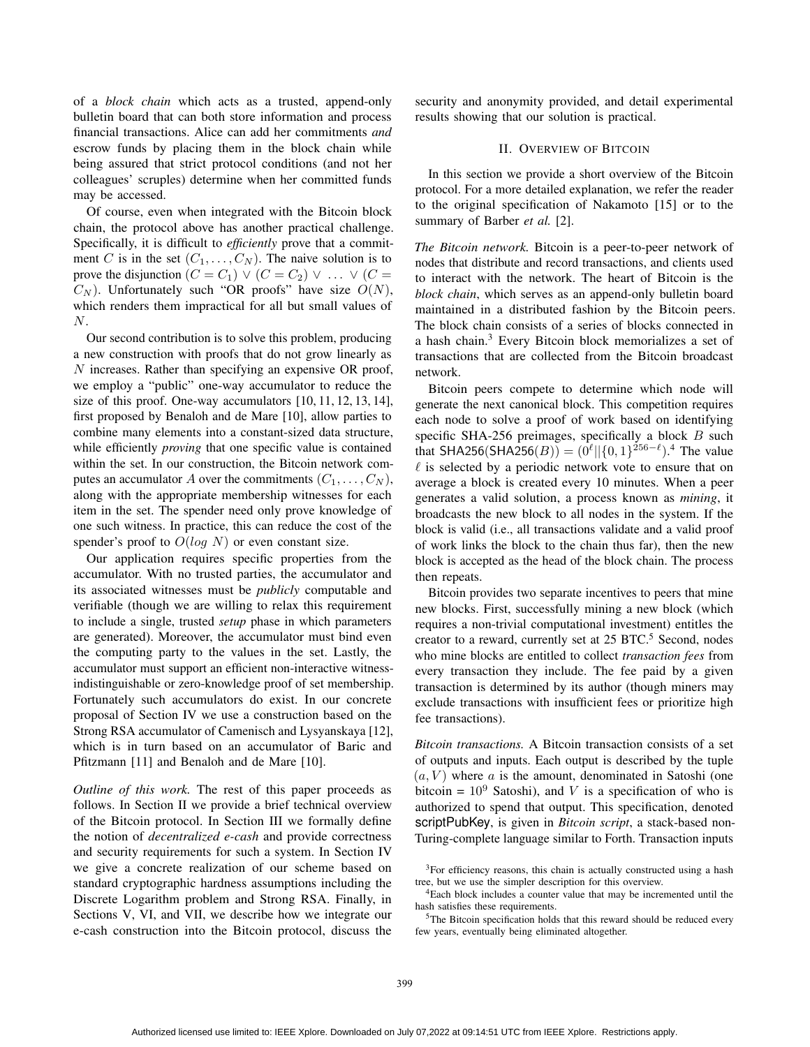of a *block chain* which acts as a trusted, append-only bulletin board that can both store information and process financial transactions. Alice can add her commitments *and* escrow funds by placing them in the block chain while being assured that strict protocol conditions (and not her colleagues' scruples) determine when her committed funds may be accessed.

Of course, even when integrated with the Bitcoin block chain, the protocol above has another practical challenge. Specifically, it is difficult to *efficiently* prove that a commitment C is in the set  $(C_1, \ldots, C_N)$ . The naive solution is to prove the disjunction  $(C = C_1) \vee (C = C_2) \vee \dots \vee (C = C_n)$  $C_N$ ). Unfortunately such "OR proofs" have size  $O(N)$ , which renders them impractical for all but small values of N.

Our second contribution is to solve this problem, producing a new construction with proofs that do not grow linearly as N increases. Rather than specifying an expensive OR proof, we employ a "public" one-way accumulator to reduce the size of this proof. One-way accumulators [10, 11, 12, 13, 14], first proposed by Benaloh and de Mare [10], allow parties to combine many elements into a constant-sized data structure, while efficiently *proving* that one specific value is contained within the set. In our construction, the Bitcoin network computes an accumulator A over the commitments  $(C_1, \ldots, C_N)$ , along with the appropriate membership witnesses for each item in the set. The spender need only prove knowledge of one such witness. In practice, this can reduce the cost of the spender's proof to  $O(log N)$  or even constant size.

Our application requires specific properties from the accumulator. With no trusted parties, the accumulator and its associated witnesses must be *publicly* computable and verifiable (though we are willing to relax this requirement to include a single, trusted *setup* phase in which parameters are generated). Moreover, the accumulator must bind even the computing party to the values in the set. Lastly, the accumulator must support an efficient non-interactive witnessindistinguishable or zero-knowledge proof of set membership. Fortunately such accumulators do exist. In our concrete proposal of Section IV we use a construction based on the Strong RSA accumulator of Camenisch and Lysyanskaya [12], which is in turn based on an accumulator of Baric and Pfitzmann [11] and Benaloh and de Mare [10].

*Outline of this work.* The rest of this paper proceeds as follows. In Section II we provide a brief technical overview of the Bitcoin protocol. In Section III we formally define the notion of *decentralized e-cash* and provide correctness and security requirements for such a system. In Section IV we give a concrete realization of our scheme based on standard cryptographic hardness assumptions including the Discrete Logarithm problem and Strong RSA. Finally, in Sections V, VI, and VII, we describe how we integrate our e-cash construction into the Bitcoin protocol, discuss the

security and anonymity provided, and detail experimental results showing that our solution is practical.

## II. OVERVIEW OF BITCOIN

In this section we provide a short overview of the Bitcoin protocol. For a more detailed explanation, we refer the reader to the original specification of Nakamoto [15] or to the summary of Barber *et al.* [2].

*The Bitcoin network.* Bitcoin is a peer-to-peer network of nodes that distribute and record transactions, and clients used to interact with the network. The heart of Bitcoin is the *block chain*, which serves as an append-only bulletin board maintained in a distributed fashion by the Bitcoin peers. The block chain consists of a series of blocks connected in a hash chain.<sup>3</sup> Every Bitcoin block memorializes a set of transactions that are collected from the Bitcoin broadcast network.

Bitcoin peers compete to determine which node will generate the next canonical block. This competition requires each node to solve a proof of work based on identifying specific SHA-256 preimages, specifically a block  $B$  such that SHA256(SHA256(B)) =  $(0^{\ell} || \{0, 1\}^{256 - \ell})$ .<sup>4</sup> The value  $\ell$  is selected by a periodic network vote to ensure that on average a block is created every 10 minutes. When a peer generates a valid solution, a process known as *mining*, it broadcasts the new block to all nodes in the system. If the block is valid (i.e., all transactions validate and a valid proof of work links the block to the chain thus far), then the new block is accepted as the head of the block chain. The process then repeats.

Bitcoin provides two separate incentives to peers that mine new blocks. First, successfully mining a new block (which requires a non-trivial computational investment) entitles the creator to a reward, currently set at  $25$  BTC.<sup>5</sup> Second, nodes who mine blocks are entitled to collect *transaction fees* from every transaction they include. The fee paid by a given transaction is determined by its author (though miners may exclude transactions with insufficient fees or prioritize high fee transactions).

*Bitcoin transactions.* A Bitcoin transaction consists of a set of outputs and inputs. Each output is described by the tuple  $(a, V)$  where a is the amount, denominated in Satoshi (one bitcoin =  $10^9$  Satoshi), and V is a specification of who is authorized to spend that output. This specification, denoted scriptPubKey, is given in *Bitcoin script*, a stack-based non-Turing-complete language similar to Forth. Transaction inputs

 $3$ For efficiency reasons, this chain is actually constructed using a hash tree, but we use the simpler description for this overview.

<sup>&</sup>lt;sup>4</sup>Each block includes a counter value that may be incremented until the hash satisfies these requirements.

<sup>&</sup>lt;sup>5</sup>The Bitcoin specification holds that this reward should be reduced every few years, eventually being eliminated altogether.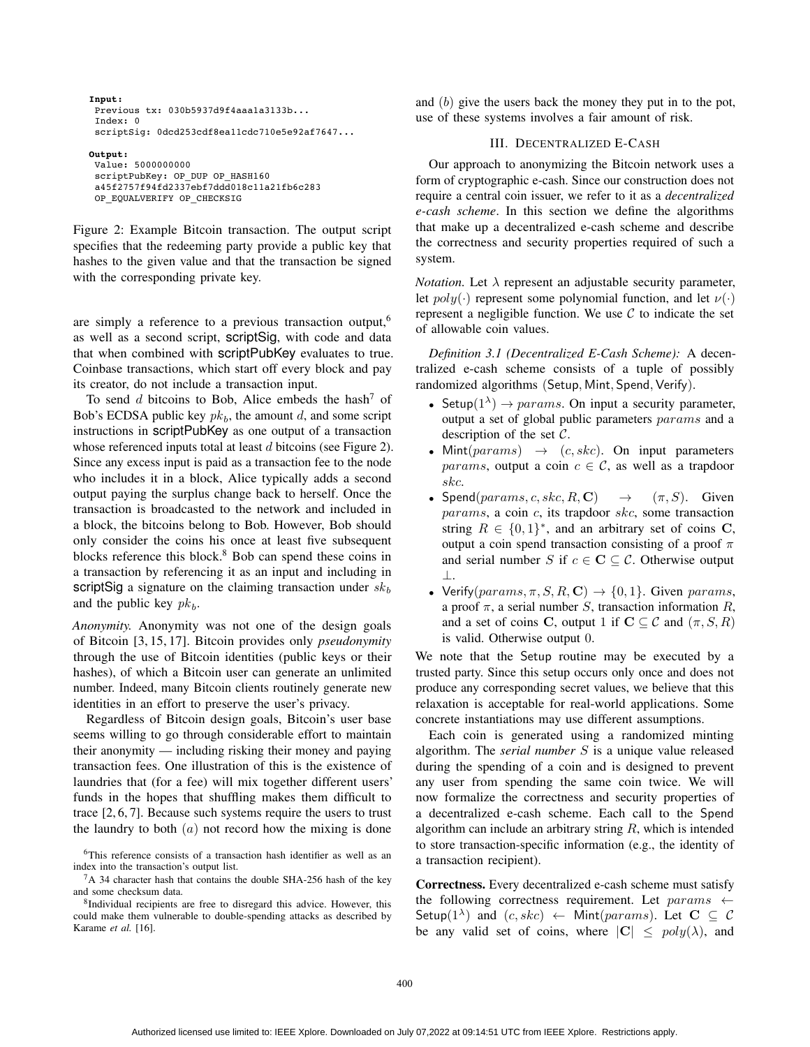```
Input:
 Previous tx: 030b5937d9f4aaa1a3133b...
  Index: 0
  scriptSig: 0dcd253cdf8ea11cdc710e5e92af7647...
Output:
```

```
 Value: 5000000000
 scriptPubKey: OP_DUP OP_HASH160 
 a45f2757f94fd2337ebf7ddd018c11a21fb6c283
 OP_EQUALVERIFY OP_CHECKSIG
```
Figure 2: Example Bitcoin transaction. The output script specifies that the redeeming party provide a public key that hashes to the given value and that the transaction be signed with the corresponding private key.

are simply a reference to a previous transaction output,<sup>6</sup> as well as a second script, scriptSig, with code and data that when combined with scriptPubKey evaluates to true. Coinbase transactions, which start off every block and pay its creator, do not include a transaction input.

To send  $d$  bitcoins to Bob, Alice embeds the hash<sup>7</sup> of Bob's ECDSA public key  $pk_b$ , the amount d, and some script instructions in scriptPubKey as one output of a transaction whose referenced inputs total at least d bitcoins (see Figure 2). Since any excess input is paid as a transaction fee to the node who includes it in a block, Alice typically adds a second output paying the surplus change back to herself. Once the transaction is broadcasted to the network and included in a block, the bitcoins belong to Bob. However, Bob should only consider the coins his once at least five subsequent blocks reference this block. $8$  Bob can spend these coins in a transaction by referencing it as an input and including in scriptSig a signature on the claiming transaction under  $sk_b$ and the public key  $pk<sub>b</sub>$ .

*Anonymity.* Anonymity was not one of the design goals of Bitcoin [3, 15, 17]. Bitcoin provides only *pseudonymity* through the use of Bitcoin identities (public keys or their hashes), of which a Bitcoin user can generate an unlimited number. Indeed, many Bitcoin clients routinely generate new identities in an effort to preserve the user's privacy.

Regardless of Bitcoin design goals, Bitcoin's user base seems willing to go through considerable effort to maintain their anonymity — including risking their money and paying transaction fees. One illustration of this is the existence of laundries that (for a fee) will mix together different users' funds in the hopes that shuffling makes them difficult to trace [2, 6, 7]. Because such systems require the users to trust the laundry to both  $(a)$  not record how the mixing is done and (b) give the users back the money they put in to the pot, use of these systems involves a fair amount of risk.

# III. DECENTRALIZED E-CASH

Our approach to anonymizing the Bitcoin network uses a form of cryptographic e-cash. Since our construction does not require a central coin issuer, we refer to it as a *decentralized e-cash scheme*. In this section we define the algorithms that make up a decentralized e-cash scheme and describe the correctness and security properties required of such a system.

*Notation.* Let  $\lambda$  represent an adjustable security parameter, let  $poly(\cdot)$  represent some polynomial function, and let  $v(\cdot)$ represent a negligible function. We use  $\mathcal C$  to indicate the set of allowable coin values.

*Definition 3.1 (Decentralized E-Cash Scheme):* A decentralized e-cash scheme consists of a tuple of possibly randomized algorithms (Setup, Mint, Spend, Verify).

- Setup( $1^{\lambda}$ )  $\rightarrow$  params. On input a security parameter, output a set of global public parameters params and a description of the set  $C$ .
- Mint(params)  $\rightarrow$  (c, skc). On input parameters *params*, output a coin  $c \in \mathcal{C}$ , as well as a trapdoor skc.
- Spend( $params, c, skc, R, C$ )  $\rightarrow$   $(\pi, S)$ . Given params, a coin c, its trapdoor skc, some transaction string  $R \in \{0,1\}^*$ , and an arbitrary set of coins **C**, output a coin spend transaction consisting of a proof  $\pi$ and serial number S if  $c \in \mathbb{C} \subseteq \mathcal{C}$ . Otherwise output ⊥.
- Verify(params,  $\pi$ , S, R, C)  $\rightarrow$  {0, 1}. Given params, a proof  $\pi$ , a serial number S, transaction information R, and a set of coins **C**, output 1 if  $C \subseteq C$  and  $(\pi, S, R)$ is valid. Otherwise output 0.

We note that the Setup routine may be executed by a trusted party. Since this setup occurs only once and does not produce any corresponding secret values, we believe that this relaxation is acceptable for real-world applications. Some concrete instantiations may use different assumptions.

Each coin is generated using a randomized minting algorithm. The *serial number* S is a unique value released during the spending of a coin and is designed to prevent any user from spending the same coin twice. We will now formalize the correctness and security properties of a decentralized e-cash scheme. Each call to the Spend algorithm can include an arbitrary string  $R$ , which is intended to store transaction-specific information (e.g., the identity of a transaction recipient).

Correctness. Every decentralized e-cash scheme must satisfy the following correctness requirement. Let  $params \leftarrow$ Setup(1<sup> $\lambda$ </sup>) and  $(c, skc) \leftarrow$  Mint(params). Let  $C \subseteq C$ be any valid set of coins, where  $|\mathbf{C}| \leq poly(\lambda)$ , and

<sup>6</sup>This reference consists of a transaction hash identifier as well as an index into the transaction's output list.

 ${}^{7}A$  34 character hash that contains the double SHA-256 hash of the key and some checksum data.

<sup>8</sup>Individual recipients are free to disregard this advice. However, this could make them vulnerable to double-spending attacks as described by Karame *et al.* [16].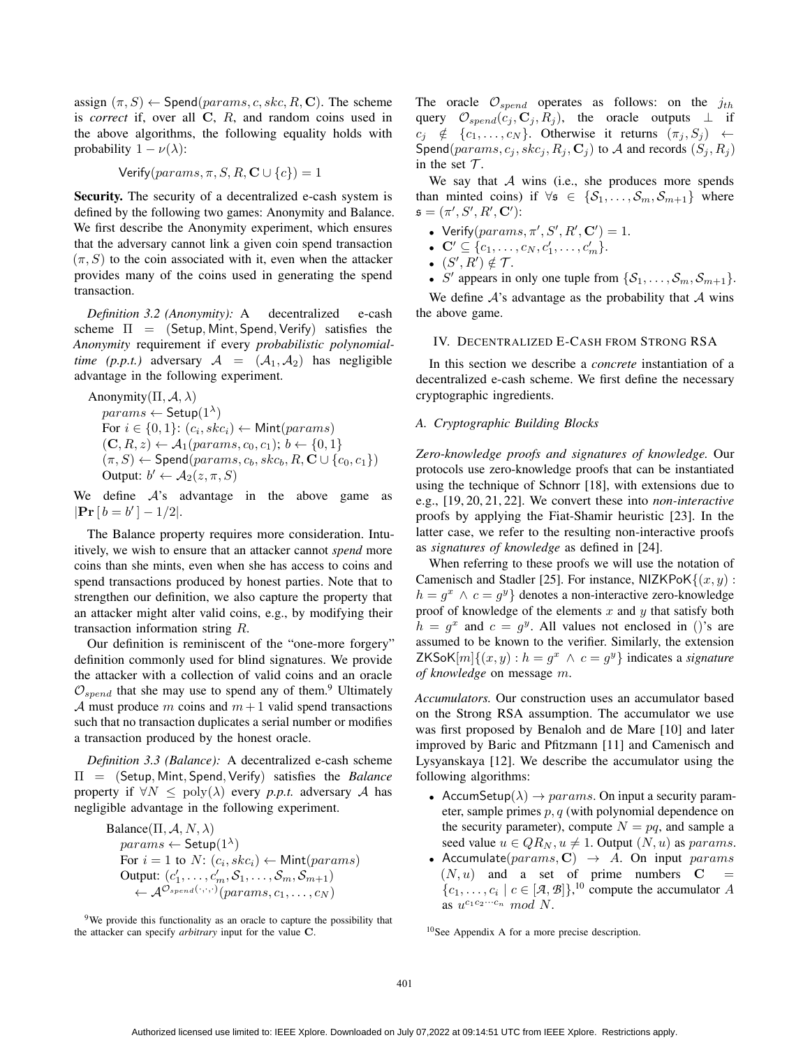assign  $(\pi, S) \leftarrow$  Spend( $params, c, skc, R, C$ ). The scheme is *correct* if, over all **C**, R, and random coins used in the above algorithms, the following equality holds with probability  $1 - \nu(\lambda)$ :

$$
Verify(params, \pi, S, R, \mathbf{C} \cup \{c\}) = 1
$$

Security. The security of a decentralized e-cash system is defined by the following two games: Anonymity and Balance. We first describe the Anonymity experiment, which ensures that the adversary cannot link a given coin spend transaction  $(\pi, S)$  to the coin associated with it, even when the attacker provides many of the coins used in generating the spend transaction.

*Definition 3.2 (Anonymity):* A decentralized e-cash scheme  $\Pi = (Setup, Mint, Spend, Verify)$  satisfies the *Anonymity* requirement if every *probabilistic polynomialtime (p.p.t.)* adversary  $A = (A_1, A_2)$  has negligible advantage in the following experiment.

Anonymity $(\Pi, \mathcal{A}, \lambda)$  $params \leftarrow \mathsf{Setup}(1^{\lambda})$ For  $i \in \{0, 1\}$ :  $(c_i, skc_i) \leftarrow$  Mint $(params)$  $(\mathbf{C}, R, z) \leftarrow A_1(params, c_0, c_1); b \leftarrow \{0, 1\}$  $(\pi, S) \leftarrow$  Spend( $params, c_b, skc_b, R, C \cup \{c_0, c_1\})$ Output:  $b' \leftarrow A_2(z, \pi, S)$ 

We define  $A$ 's advantage in the above game as  $|\mathbf{Pr}[b = b'] - 1/2|$ .

The Balance property requires more consideration. Intuitively, we wish to ensure that an attacker cannot *spend* more coins than she mints, even when she has access to coins and spend transactions produced by honest parties. Note that to strengthen our definition, we also capture the property that an attacker might alter valid coins, e.g., by modifying their transaction information string R.

Our definition is reminiscent of the "one-more forgery" definition commonly used for blind signatures. We provide the attacker with a collection of valid coins and an oracle  $\mathcal{O}_{spend}$  that she may use to spend any of them.<sup>9</sup> Ultimately A must produce m coins and  $m+1$  valid spend transactions such that no transaction duplicates a serial number or modifies a transaction produced by the honest oracle.

*Definition 3.3 (Balance):* A decentralized e-cash scheme Π=(Setup, Mint, Spend, Verify) satisfies the *Balance* property if  $\forall N \leq poly(\lambda)$  every *p.p.t.* adversary A has negligible advantage in the following experiment.

Balance(II, A, N, 
$$
\lambda
$$
)  
\n $params \leftarrow$  Setup(1 <sup>$\lambda$</sup> )  
\nFor  $i = 1$  to N:  $(c_i, skc_i) \leftarrow$  Mint( $params$ )  
\nOutput:  $(c'_1, ..., c'_m, S_1, ..., S_m, S_{m+1})$   
\n $\leftarrow$  A<sup>O<sub>spend(·, ··)</sub> ( $params, c_1, ..., c_N$ )</sup>

<sup>9</sup>We provide this functionality as an oracle to capture the possibility that the attacker can specify *arbitrary* input for the value **C**.

The oracle  $\mathcal{O}_{spend}$  operates as follows: on the  $j_{th}$ query  $\mathcal{O}_{spend}(c_j, \mathbf{C}_j, R_j)$ , the oracle outputs  $\perp$  if  $c_j \notin \{c_1,\ldots,c_N\}$ . Otherwise it returns  $(\pi_j, S_j) \leftarrow$ Spend( $params, c_j, skc_j, R_j, C_j$ ) to A and records  $(S_j, R_j)$ in the set  $\mathcal{T}$ .

We say that  $A$  wins (i.e., she produces more spends than minted coins) if  $\forall s \in \{S_1, \ldots, S_m, S_{m+1}\}\$  where  $\mathfrak{s}=(\pi',S',R',\mathbf{C}')$ :

- Verify( $params, \pi', S', R', C' \ = 1.$
- $\mathbf{C}' \subseteq \{c_1, \ldots, c_N, c'_1, \ldots, c'_m\}.$
- $(S', R') \notin \mathcal{T}$ .
- S' appears in only one tuple from  $\{S_1,\ldots,S_m,S_{m+1}\}.$

We define  $A$ 's advantage as the probability that  $A$  wins the above game.

# IV. DECENTRALIZED E-CASH FROM STRONG RSA

In this section we describe a *concrete* instantiation of a decentralized e-cash scheme. We first define the necessary cryptographic ingredients.

#### *A. Cryptographic Building Blocks*

*Zero-knowledge proofs and signatures of knowledge.* Our protocols use zero-knowledge proofs that can be instantiated using the technique of Schnorr [18], with extensions due to e.g., [19, 20, 21, 22]. We convert these into *non-interactive* proofs by applying the Fiat-Shamir heuristic [23]. In the latter case, we refer to the resulting non-interactive proofs as *signatures of knowledge* as defined in [24].

When referring to these proofs we will use the notation of Camenisch and Stadler [25]. For instance, NIZKPoK $\{(x, y) :$  $h = g^x \wedge c = g^y$  denotes a non-interactive zero-knowledge proof of knowledge of the elements  $x$  and  $y$  that satisfy both  $h = q^x$  and  $c = q^y$ . All values not enclosed in ()'s are assumed to be known to the verifier. Similarly, the extension ZKSoK $[m]\{(x,y): h = g^x \land c = g^y\}$  indicates a *signature of knowledge* on message m.

*Accumulators.* Our construction uses an accumulator based on the Strong RSA assumption. The accumulator we use was first proposed by Benaloh and de Mare [10] and later improved by Baric and Pfitzmann [11] and Camenisch and Lysyanskaya [12]. We describe the accumulator using the following algorithms:

- AccumSetup( $\lambda$ )  $\rightarrow$  params. On input a security parameter, sample primes  $p, q$  (with polynomial dependence on the security parameter), compute  $N = pq$ , and sample a seed value  $u \in QR_N, u \neq 1$ . Output  $(N, u)$  as params.
- Accumulate( $params$ , C)  $\rightarrow$  A. On input params  $(N, u)$  and a set of prime numbers  $C =$  $\{c_1, \ldots, c_i \mid c \in [\mathcal{A}, \mathcal{B}]\}\,^{10}$  compute the accumulator A as  $u^{c_1c_2\cdots c_n} \mod N$ .

10See Appendix A for a more precise description.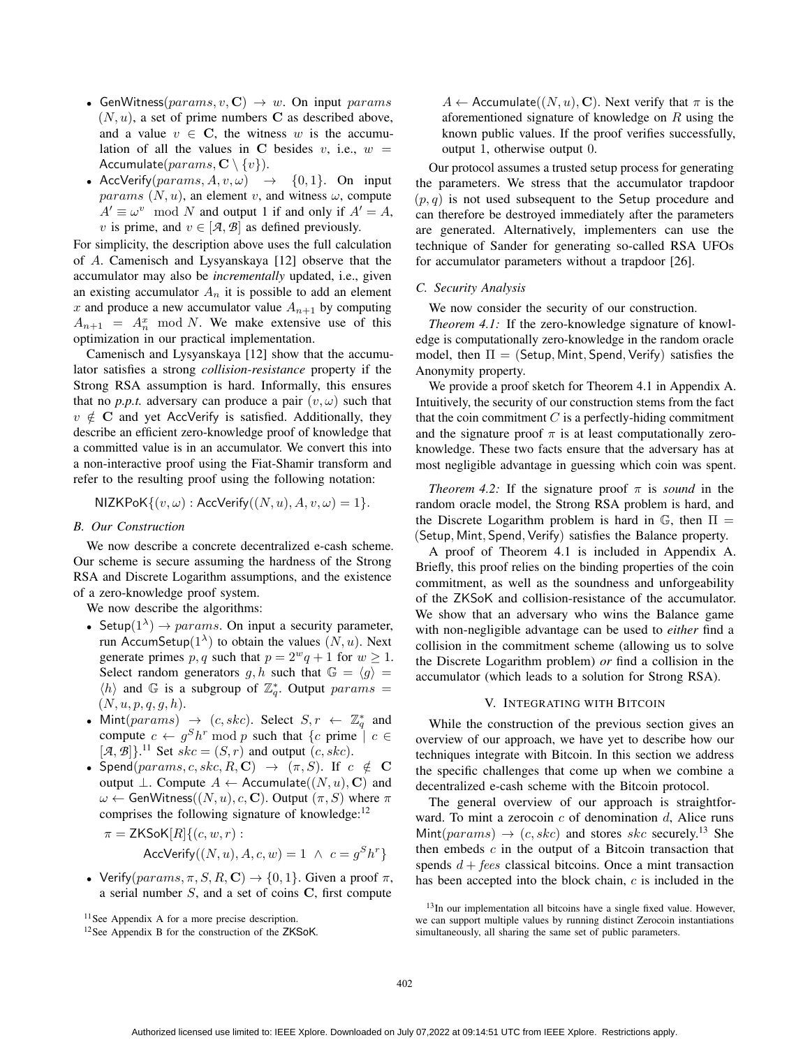- GenWitness( $params, v, C$ )  $\rightarrow w$ . On input params  $(N, u)$ , a set of prime numbers C as described above, and a value  $v \in \mathbb{C}$ , the witness w is the accumulation of all the values in C besides v, i.e.,  $w =$ Accumulate( $params, C \setminus \{v\}$ ).
- AccVerify( $params, A, v, \omega$ )  $\rightarrow$  {0,1}. On input params  $(N, u)$ , an element v, and witness  $\omega$ , compute  $A' \equiv \omega^v \mod N$  and output 1 if and only if  $A' = A$ , v is prime, and  $v \in [A, B]$  as defined previously.

For simplicity, the description above uses the full calculation of A. Camenisch and Lysyanskaya [12] observe that the accumulator may also be *incrementally* updated, i.e., given an existing accumulator  $A_n$  it is possible to add an element x and produce a new accumulator value  $A_{n+1}$  by computing  $A_{n+1}$  =  $A_n^x$  mod N. We make extensive use of this optimization in our practical implementation.

Camenisch and Lysyanskaya [12] show that the accumulator satisfies a strong *collision-resistance* property if the Strong RSA assumption is hard. Informally, this ensures that no *p.p.t.* adversary can produce a pair  $(v, \omega)$  such that  $v \notin \mathbf{C}$  and yet AccVerify is satisfied. Additionally, they describe an efficient zero-knowledge proof of knowledge that a committed value is in an accumulator. We convert this into a non-interactive proof using the Fiat-Shamir transform and refer to the resulting proof using the following notation:

$$
\mathsf{NIZKPoK}\{(v,\omega): \mathsf{AccVerify}((N,u), A, v, \omega) = 1\}.
$$

## *B. Our Construction*

We now describe a concrete decentralized e-cash scheme. Our scheme is secure assuming the hardness of the Strong RSA and Discrete Logarithm assumptions, and the existence of a zero-knowledge proof system.

We now describe the algorithms:

- Setup( $1^{\lambda}$ )  $\rightarrow$  params. On input a security parameter, run AccumSetup $(1^{\lambda})$  to obtain the values  $(N, u)$ . Next generate primes p, q such that  $p = 2^w q + 1$  for  $w \ge 1$ . Select random generators g, h such that  $\mathbb{G} = \langle g \rangle =$  $\langle h \rangle$  and G is a subgroup of  $\mathbb{Z}_q^*$ . Output params =  $(N, u, p, q, g, h).$
- Mint $(params) \rightarrow (c, skc)$ . Select  $S, r \leftarrow \mathbb{Z}_q^*$  and compute  $c \leftarrow g^S h^r \mod p$  such that  $\{c \text{ prime}\}\subset \mathcal{C}$  $[\mathcal{A}, \mathcal{B}]$ <sup>11</sup> Set  $skc = (S, r)$  and output  $(c, skc)$ .
- Spend( $params, c, skc, R, C$ )  $\rightarrow (\pi, S)$ . If  $c \notin C$ output  $\bot$ . Compute  $A \leftarrow$  Accumulate( $(N, u)$ , **C**) and  $\omega \leftarrow$  GenWitness $((N, u), c, C)$ . Output  $(\pi, S)$  where  $\pi$ comprises the following signature of knowledge: $12$

$$
\begin{aligned} \pi = \mathsf{ZKSok}[R] \{ (c,w,r) : \\ \mathsf{AccVerify}((N,u),A,c,w) = 1 \ \wedge \ c = g^S h^r \} \end{aligned}
$$

• Verify( $params, \pi, S, R, C$ )  $\rightarrow$  {0, 1}. Given a proof  $\pi$ , a serial number S, and a set of coins **C**, first compute

 $A \leftarrow$  Accumulate $((N, u), C)$ . Next verify that  $\pi$  is the aforementioned signature of knowledge on R using the known public values. If the proof verifies successfully, output 1, otherwise output 0.

Our protocol assumes a trusted setup process for generating the parameters. We stress that the accumulator trapdoor  $(p, q)$  is not used subsequent to the Setup procedure and can therefore be destroyed immediately after the parameters are generated. Alternatively, implementers can use the technique of Sander for generating so-called RSA UFOs for accumulator parameters without a trapdoor [26].

#### *C. Security Analysis*

We now consider the security of our construction.

*Theorem 4.1:* If the zero-knowledge signature of knowledge is computationally zero-knowledge in the random oracle model, then  $\Pi = (Setup, Mint, Spend, Verify)$  satisfies the Anonymity property.

We provide a proof sketch for Theorem 4.1 in Appendix A. Intuitively, the security of our construction stems from the fact that the coin commitment  $C$  is a perfectly-hiding commitment and the signature proof  $\pi$  is at least computationally zeroknowledge. These two facts ensure that the adversary has at most negligible advantage in guessing which coin was spent.

*Theorem 4.2:* If the signature proof  $\pi$  is *sound* in the random oracle model, the Strong RSA problem is hard, and the Discrete Logarithm problem is hard in  $\mathbb{G}$ , then  $\Pi =$ (Setup, Mint, Spend, Verify) satisfies the Balance property.

A proof of Theorem 4.1 is included in Appendix A. Briefly, this proof relies on the binding properties of the coin commitment, as well as the soundness and unforgeability of the ZKSoK and collision-resistance of the accumulator. We show that an adversary who wins the Balance game with non-negligible advantage can be used to *either* find a collision in the commitment scheme (allowing us to solve the Discrete Logarithm problem) *or* find a collision in the accumulator (which leads to a solution for Strong RSA).

#### V. INTEGRATING WITH BITCOIN

While the construction of the previous section gives an overview of our approach, we have yet to describe how our techniques integrate with Bitcoin. In this section we address the specific challenges that come up when we combine a decentralized e-cash scheme with the Bitcoin protocol.

The general overview of our approach is straightforward. To mint a zerocoin  $c$  of denomination  $d$ , Alice runs  $\text{Mint}(params) \rightarrow (c, skc)$  and stores skc securely.<sup>13</sup> She then embeds  $c$  in the output of a Bitcoin transaction that spends  $d + fees$  classical bitcoins. Once a mint transaction has been accepted into the block chain,  $c$  is included in the

<sup>11</sup>See Appendix A for a more precise description.

<sup>12</sup>See Appendix B for the construction of the ZKSoK.

<sup>&</sup>lt;sup>13</sup>In our implementation all bitcoins have a single fixed value. However, we can support multiple values by running distinct Zerocoin instantiations simultaneously, all sharing the same set of public parameters.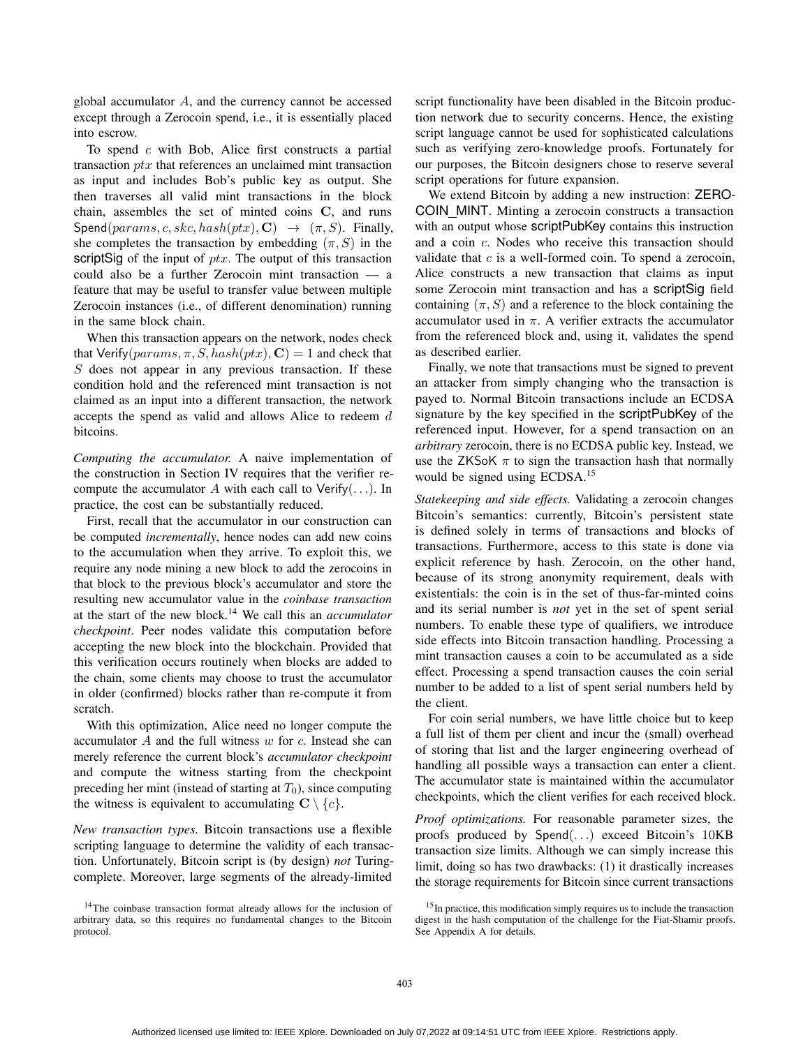global accumulator A, and the currency cannot be accessed except through a Zerocoin spend, i.e., it is essentially placed into escrow.

To spend c with Bob, Alice first constructs a partial transaction  $ptx$  that references an unclaimed mint transaction as input and includes Bob's public key as output. She then traverses all valid mint transactions in the block chain, assembles the set of minted coins **C**, and runs  ${\sf Spend}(params, c, skc, hash(ptx), C) \rightarrow (\pi, S)$ . Finally, she completes the transaction by embedding  $(\pi, S)$  in the script Sig of the input of  $ptx$ . The output of this transaction could also be a further Zerocoin mint transaction — a feature that may be useful to transfer value between multiple Zerocoin instances (i.e., of different denomination) running in the same block chain.

When this transaction appears on the network, nodes check that Verify( $params, \pi, S, hash(ptx)$ ,  $\mathbf{C}$ ) = 1 and check that  $S$  does not appear in any previous transaction. If these condition hold and the referenced mint transaction is not claimed as an input into a different transaction, the network accepts the spend as valid and allows Alice to redeem d bitcoins.

*Computing the accumulator.* A naive implementation of the construction in Section IV requires that the verifier recompute the accumulator A with each call to  $Verify(...)$ . In practice, the cost can be substantially reduced.

First, recall that the accumulator in our construction can be computed *incrementally*, hence nodes can add new coins to the accumulation when they arrive. To exploit this, we require any node mining a new block to add the zerocoins in that block to the previous block's accumulator and store the resulting new accumulator value in the *coinbase transaction* at the start of the new block.14 We call this an *accumulator checkpoint*. Peer nodes validate this computation before accepting the new block into the blockchain. Provided that this verification occurs routinely when blocks are added to the chain, some clients may choose to trust the accumulator in older (confirmed) blocks rather than re-compute it from scratch.

With this optimization, Alice need no longer compute the accumulator  $A$  and the full witness  $w$  for  $c$ . Instead she can merely reference the current block's *accumulator checkpoint* and compute the witness starting from the checkpoint preceding her mint (instead of starting at  $T_0$ ), since computing the witness is equivalent to accumulating  $C \setminus \{c\}.$ 

*New transaction types.* Bitcoin transactions use a flexible scripting language to determine the validity of each transaction. Unfortunately, Bitcoin script is (by design) *not* Turingcomplete. Moreover, large segments of the already-limited

<sup>14</sup>The coinbase transaction format already allows for the inclusion of arbitrary data, so this requires no fundamental changes to the Bitcoin protocol.

script functionality have been disabled in the Bitcoin production network due to security concerns. Hence, the existing script language cannot be used for sophisticated calculations such as verifying zero-knowledge proofs. Fortunately for our purposes, the Bitcoin designers chose to reserve several script operations for future expansion.

We extend Bitcoin by adding a new instruction: ZERO-COIN MINT. Minting a zerocoin constructs a transaction with an output whose scriptPubKey contains this instruction and a coin c. Nodes who receive this transaction should validate that  $c$  is a well-formed coin. To spend a zerocoin, Alice constructs a new transaction that claims as input some Zerocoin mint transaction and has a scriptSig field containing  $(\pi, S)$  and a reference to the block containing the accumulator used in  $\pi$ . A verifier extracts the accumulator from the referenced block and, using it, validates the spend as described earlier.

Finally, we note that transactions must be signed to prevent an attacker from simply changing who the transaction is payed to. Normal Bitcoin transactions include an ECDSA signature by the key specified in the scriptPubKey of the referenced input. However, for a spend transaction on an *arbitrary* zerocoin, there is no ECDSA public key. Instead, we use the ZKSoK  $\pi$  to sign the transaction hash that normally would be signed using ECDSA.15

*Statekeeping and side effects.* Validating a zerocoin changes Bitcoin's semantics: currently, Bitcoin's persistent state is defined solely in terms of transactions and blocks of transactions. Furthermore, access to this state is done via explicit reference by hash. Zerocoin, on the other hand, because of its strong anonymity requirement, deals with existentials: the coin is in the set of thus-far-minted coins and its serial number is *not* yet in the set of spent serial numbers. To enable these type of qualifiers, we introduce side effects into Bitcoin transaction handling. Processing a mint transaction causes a coin to be accumulated as a side effect. Processing a spend transaction causes the coin serial number to be added to a list of spent serial numbers held by the client.

For coin serial numbers, we have little choice but to keep a full list of them per client and incur the (small) overhead of storing that list and the larger engineering overhead of handling all possible ways a transaction can enter a client. The accumulator state is maintained within the accumulator checkpoints, which the client verifies for each received block.

*Proof optimizations.* For reasonable parameter sizes, the proofs produced by Spend(...) exceed Bitcoin's 10KB transaction size limits. Although we can simply increase this limit, doing so has two drawbacks: (1) it drastically increases the storage requirements for Bitcoin since current transactions

 $15$ In practice, this modification simply requires us to include the transaction digest in the hash computation of the challenge for the Fiat-Shamir proofs. See Appendix A for details.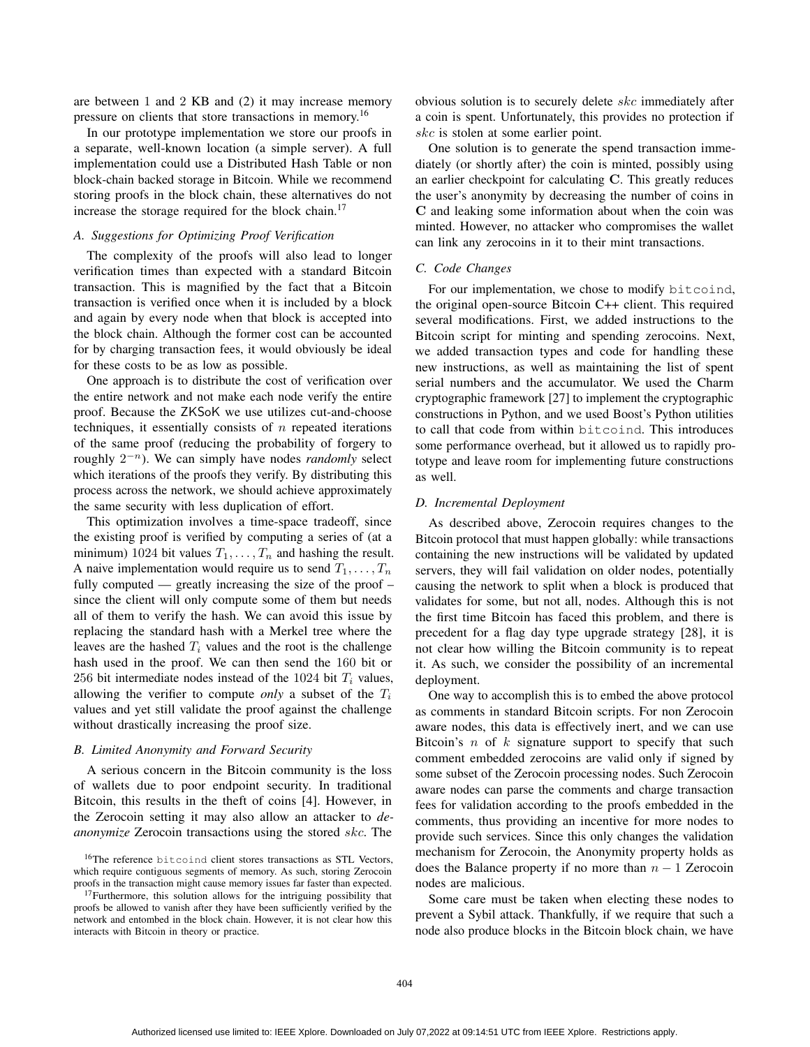are between 1 and 2 KB and (2) it may increase memory pressure on clients that store transactions in memory.16

In our prototype implementation we store our proofs in a separate, well-known location (a simple server). A full implementation could use a Distributed Hash Table or non block-chain backed storage in Bitcoin. While we recommend storing proofs in the block chain, these alternatives do not increase the storage required for the block chain. $17$ 

## *A. Suggestions for Optimizing Proof Verification*

The complexity of the proofs will also lead to longer verification times than expected with a standard Bitcoin transaction. This is magnified by the fact that a Bitcoin transaction is verified once when it is included by a block and again by every node when that block is accepted into the block chain. Although the former cost can be accounted for by charging transaction fees, it would obviously be ideal for these costs to be as low as possible.

One approach is to distribute the cost of verification over the entire network and not make each node verify the entire proof. Because the ZKSoK we use utilizes cut-and-choose techniques, it essentially consists of  $n$  repeated iterations of the same proof (reducing the probability of forgery to roughly 2−<sup>n</sup>). We can simply have nodes *randomly* select which iterations of the proofs they verify. By distributing this process across the network, we should achieve approximately the same security with less duplication of effort.

This optimization involves a time-space tradeoff, since the existing proof is verified by computing a series of (at a minimum) 1024 bit values  $T_1, \ldots, T_n$  and hashing the result. A naive implementation would require us to send  $T_1, \ldots, T_n$ fully computed — greatly increasing the size of the proof – since the client will only compute some of them but needs all of them to verify the hash. We can avoid this issue by replacing the standard hash with a Merkel tree where the leaves are the hashed  $T_i$  values and the root is the challenge hash used in the proof. We can then send the 160 bit or 256 bit intermediate nodes instead of the 1024 bit  $T_i$  values, allowing the verifier to compute *only* a subset of the  $T_i$ values and yet still validate the proof against the challenge without drastically increasing the proof size.

# *B. Limited Anonymity and Forward Security*

A serious concern in the Bitcoin community is the loss of wallets due to poor endpoint security. In traditional Bitcoin, this results in the theft of coins [4]. However, in the Zerocoin setting it may also allow an attacker to *deanonymize* Zerocoin transactions using the stored skc. The obvious solution is to securely delete skc immediately after a coin is spent. Unfortunately, this provides no protection if skc is stolen at some earlier point.

One solution is to generate the spend transaction immediately (or shortly after) the coin is minted, possibly using an earlier checkpoint for calculating **C**. This greatly reduces the user's anonymity by decreasing the number of coins in **C** and leaking some information about when the coin was minted. However, no attacker who compromises the wallet can link any zerocoins in it to their mint transactions.

# *C. Code Changes*

For our implementation, we chose to modify bitcoind, the original open-source Bitcoin C++ client. This required several modifications. First, we added instructions to the Bitcoin script for minting and spending zerocoins. Next, we added transaction types and code for handling these new instructions, as well as maintaining the list of spent serial numbers and the accumulator. We used the Charm cryptographic framework [27] to implement the cryptographic constructions in Python, and we used Boost's Python utilities to call that code from within bitcoind. This introduces some performance overhead, but it allowed us to rapidly prototype and leave room for implementing future constructions as well.

## *D. Incremental Deployment*

As described above, Zerocoin requires changes to the Bitcoin protocol that must happen globally: while transactions containing the new instructions will be validated by updated servers, they will fail validation on older nodes, potentially causing the network to split when a block is produced that validates for some, but not all, nodes. Although this is not the first time Bitcoin has faced this problem, and there is precedent for a flag day type upgrade strategy [28], it is not clear how willing the Bitcoin community is to repeat it. As such, we consider the possibility of an incremental deployment.

One way to accomplish this is to embed the above protocol as comments in standard Bitcoin scripts. For non Zerocoin aware nodes, this data is effectively inert, and we can use Bitcoin's  $n$  of  $k$  signature support to specify that such comment embedded zerocoins are valid only if signed by some subset of the Zerocoin processing nodes. Such Zerocoin aware nodes can parse the comments and charge transaction fees for validation according to the proofs embedded in the comments, thus providing an incentive for more nodes to provide such services. Since this only changes the validation mechanism for Zerocoin, the Anonymity property holds as does the Balance property if no more than  $n-1$  Zerocoin nodes are malicious.

Some care must be taken when electing these nodes to prevent a Sybil attack. Thankfully, if we require that such a node also produce blocks in the Bitcoin block chain, we have

<sup>16</sup>The reference bitcoind client stores transactions as STL Vectors, which require contiguous segments of memory. As such, storing Zerocoin proofs in the transaction might cause memory issues far faster than expected.

<sup>&</sup>lt;sup>17</sup>Furthermore, this solution allows for the intriguing possibility that proofs be allowed to vanish after they have been sufficiently verified by the network and entombed in the block chain. However, it is not clear how this interacts with Bitcoin in theory or practice.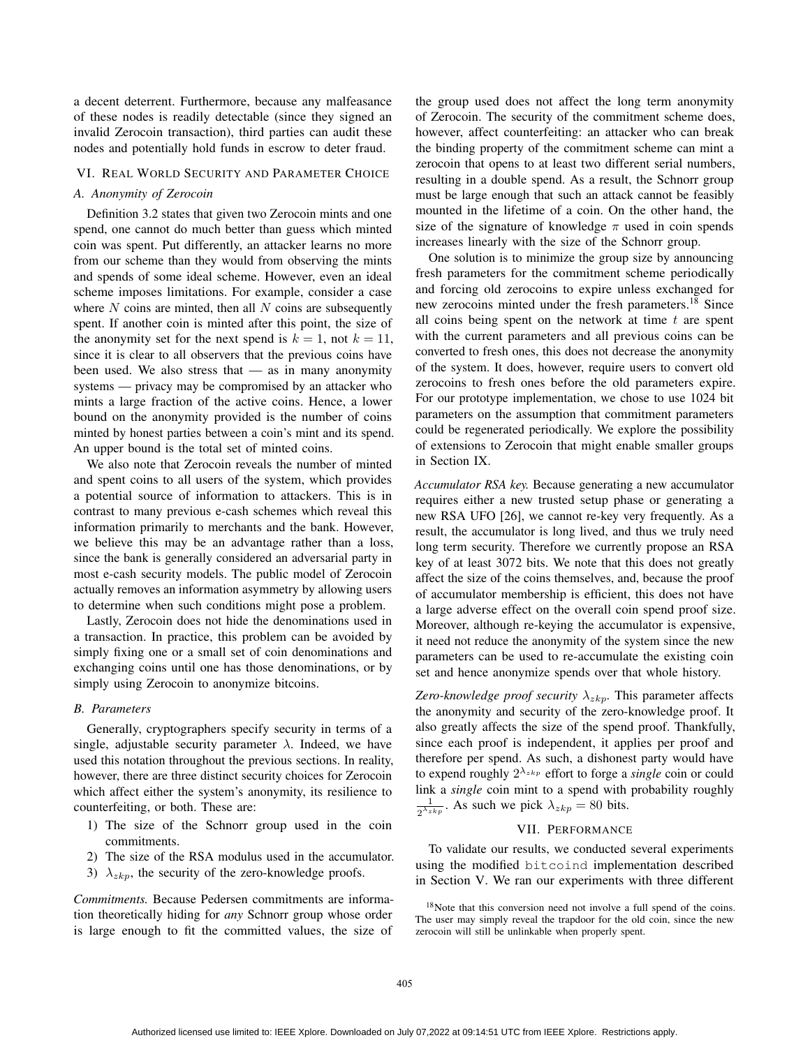a decent deterrent. Furthermore, because any malfeasance of these nodes is readily detectable (since they signed an invalid Zerocoin transaction), third parties can audit these nodes and potentially hold funds in escrow to deter fraud.

# VI. REAL WORLD SECURITY AND PARAMETER CHOICE

# *A. Anonymity of Zerocoin*

Definition 3.2 states that given two Zerocoin mints and one spend, one cannot do much better than guess which minted coin was spent. Put differently, an attacker learns no more from our scheme than they would from observing the mints and spends of some ideal scheme. However, even an ideal scheme imposes limitations. For example, consider a case where  $N$  coins are minted, then all  $N$  coins are subsequently spent. If another coin is minted after this point, the size of the anonymity set for the next spend is  $k = 1$ , not  $k = 11$ , since it is clear to all observers that the previous coins have been used. We also stress that  $-$  as in many anonymity systems — privacy may be compromised by an attacker who mints a large fraction of the active coins. Hence, a lower bound on the anonymity provided is the number of coins minted by honest parties between a coin's mint and its spend. An upper bound is the total set of minted coins.

We also note that Zerocoin reveals the number of minted and spent coins to all users of the system, which provides a potential source of information to attackers. This is in contrast to many previous e-cash schemes which reveal this information primarily to merchants and the bank. However, we believe this may be an advantage rather than a loss, since the bank is generally considered an adversarial party in most e-cash security models. The public model of Zerocoin actually removes an information asymmetry by allowing users to determine when such conditions might pose a problem.

Lastly, Zerocoin does not hide the denominations used in a transaction. In practice, this problem can be avoided by simply fixing one or a small set of coin denominations and exchanging coins until one has those denominations, or by simply using Zerocoin to anonymize bitcoins.

#### *B. Parameters*

Generally, cryptographers specify security in terms of a single, adjustable security parameter  $\lambda$ . Indeed, we have used this notation throughout the previous sections. In reality, however, there are three distinct security choices for Zerocoin which affect either the system's anonymity, its resilience to counterfeiting, or both. These are:

- 1) The size of the Schnorr group used in the coin commitments.
- 2) The size of the RSA modulus used in the accumulator.
- 3)  $\lambda_{zkp}$ , the security of the zero-knowledge proofs.

*Commitments.* Because Pedersen commitments are information theoretically hiding for *any* Schnorr group whose order is large enough to fit the committed values, the size of the group used does not affect the long term anonymity of Zerocoin. The security of the commitment scheme does, however, affect counterfeiting: an attacker who can break the binding property of the commitment scheme can mint a zerocoin that opens to at least two different serial numbers, resulting in a double spend. As a result, the Schnorr group must be large enough that such an attack cannot be feasibly mounted in the lifetime of a coin. On the other hand, the size of the signature of knowledge  $\pi$  used in coin spends increases linearly with the size of the Schnorr group.

One solution is to minimize the group size by announcing fresh parameters for the commitment scheme periodically and forcing old zerocoins to expire unless exchanged for new zerocoins minted under the fresh parameters.<sup>18</sup> Since all coins being spent on the network at time  $t$  are spent with the current parameters and all previous coins can be converted to fresh ones, this does not decrease the anonymity of the system. It does, however, require users to convert old zerocoins to fresh ones before the old parameters expire. For our prototype implementation, we chose to use 1024 bit parameters on the assumption that commitment parameters could be regenerated periodically. We explore the possibility of extensions to Zerocoin that might enable smaller groups in Section IX.

*Accumulator RSA key.* Because generating a new accumulator requires either a new trusted setup phase or generating a new RSA UFO [26], we cannot re-key very frequently. As a result, the accumulator is long lived, and thus we truly need long term security. Therefore we currently propose an RSA key of at least 3072 bits. We note that this does not greatly affect the size of the coins themselves, and, because the proof of accumulator membership is efficient, this does not have a large adverse effect on the overall coin spend proof size. Moreover, although re-keying the accumulator is expensive, it need not reduce the anonymity of the system since the new parameters can be used to re-accumulate the existing coin set and hence anonymize spends over that whole history.

*Zero-knowledge proof security*  $\lambda_{zkp}$ . This parameter affects the anonymity and security of the zero-knowledge proof. It also greatly affects the size of the spend proof. Thankfully, since each proof is independent, it applies per proof and therefore per spend. As such, a dishonest party would have to expend roughly  $2^{\lambda_{zkp}}$  effort to forge a *single* coin or could link a *single* coin mint to a spend with probability roughly  $\frac{1}{2^{\lambda_{zkp}}}$ . As such we pick  $\lambda_{zkp} = 80$  bits.

# VII. PERFORMANCE

To validate our results, we conducted several experiments using the modified bitcoind implementation described in Section V. We ran our experiments with three different

<sup>&</sup>lt;sup>18</sup>Note that this conversion need not involve a full spend of the coins. The user may simply reveal the trapdoor for the old coin, since the new zerocoin will still be unlinkable when properly spent.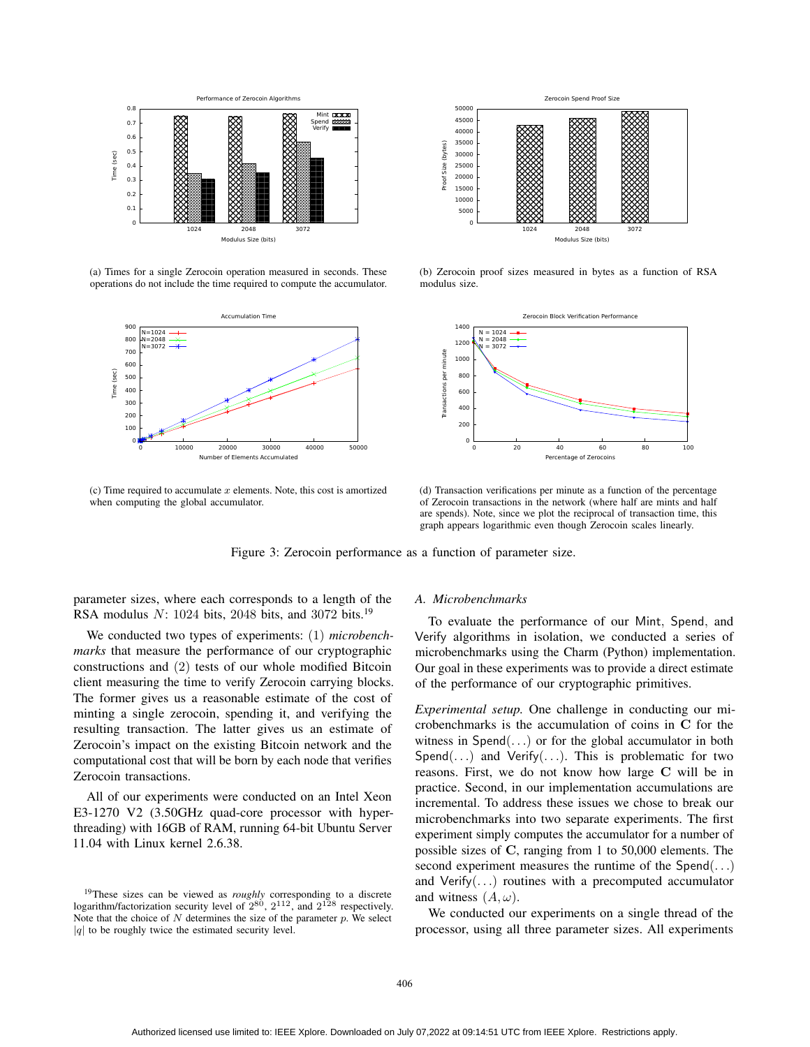

(a) Times for a single Zerocoin operation measured in seconds. These operations do not include the time required to compute the accumulator.



(c) Time required to accumulate  $x$  elements. Note, this cost is amortized when computing the global accumulator.



(b) Zerocoin proof sizes measured in bytes as a function of RSA modulus size.



(d) Transaction verifications per minute as a function of the percentage of Zerocoin transactions in the network (where half are mints and half are spends). Note, since we plot the reciprocal of transaction time, this graph appears logarithmic even though Zerocoin scales linearly.

Figure 3: Zerocoin performance as a function of parameter size.

parameter sizes, where each corresponds to a length of the RSA modulus  $N: 1024$  bits, 2048 bits, and 3072 bits.<sup>19</sup>

We conducted two types of experiments: (1) *microbenchmarks* that measure the performance of our cryptographic constructions and (2) tests of our whole modified Bitcoin client measuring the time to verify Zerocoin carrying blocks. The former gives us a reasonable estimate of the cost of minting a single zerocoin, spending it, and verifying the resulting transaction. The latter gives us an estimate of Zerocoin's impact on the existing Bitcoin network and the computational cost that will be born by each node that verifies Zerocoin transactions.

All of our experiments were conducted on an Intel Xeon E3-1270 V2 (3.50GHz quad-core processor with hyperthreading) with 16GB of RAM, running 64-bit Ubuntu Server 11.04 with Linux kernel 2.6.38.

# *A. Microbenchmarks*

To evaluate the performance of our Mint, Spend, and Verify algorithms in isolation, we conducted a series of microbenchmarks using the Charm (Python) implementation. Our goal in these experiments was to provide a direct estimate of the performance of our cryptographic primitives.

*Experimental setup.* One challenge in conducting our microbenchmarks is the accumulation of coins in **C** for the witness in Spend(...) or for the global accumulator in both  $Spend(\ldots)$  and  $Verify(\ldots)$ . This is problematic for two reasons. First, we do not know how large **C** will be in practice. Second, in our implementation accumulations are incremental. To address these issues we chose to break our microbenchmarks into two separate experiments. The first experiment simply computes the accumulator for a number of possible sizes of **C**, ranging from 1 to 50,000 elements. The second experiment measures the runtime of the Spend(...) and  $Verify(...)$  routines with a precomputed accumulator and witness  $(A, \omega)$ .

We conducted our experiments on a single thread of the processor, using all three parameter sizes. All experiments

<sup>&</sup>lt;sup>19</sup>These sizes can be viewed as *roughly* corresponding to a discrete logarithm/factorization security level of  $2^{80}$ ,  $2^{112}$ , and  $2^{128}$  respectively. Note that the choice of  $N$  determines the size of the parameter  $p$ . We select  $|q|$  to be roughly twice the estimated security level.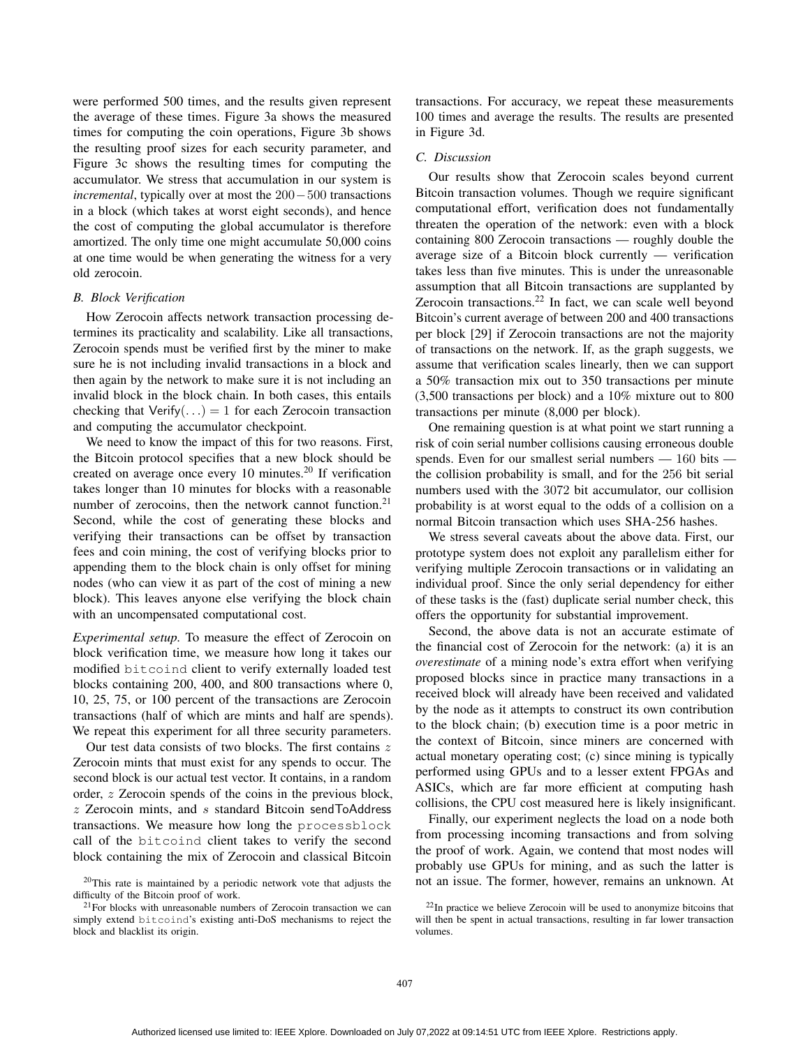were performed 500 times, and the results given represent the average of these times. Figure 3a shows the measured times for computing the coin operations, Figure 3b shows the resulting proof sizes for each security parameter, and Figure 3c shows the resulting times for computing the accumulator. We stress that accumulation in our system is *incremental*, typically over at most the 200−500 transactions in a block (which takes at worst eight seconds), and hence the cost of computing the global accumulator is therefore amortized. The only time one might accumulate 50,000 coins at one time would be when generating the witness for a very old zerocoin.

## *B. Block Verification*

How Zerocoin affects network transaction processing determines its practicality and scalability. Like all transactions, Zerocoin spends must be verified first by the miner to make sure he is not including invalid transactions in a block and then again by the network to make sure it is not including an invalid block in the block chain. In both cases, this entails checking that  $Verify(...)=1$  for each Zerocoin transaction and computing the accumulator checkpoint.

We need to know the impact of this for two reasons. First, the Bitcoin protocol specifies that a new block should be created on average once every 10 minutes.20 If verification takes longer than 10 minutes for blocks with a reasonable number of zerocoins, then the network cannot function.<sup>21</sup> Second, while the cost of generating these blocks and verifying their transactions can be offset by transaction fees and coin mining, the cost of verifying blocks prior to appending them to the block chain is only offset for mining nodes (who can view it as part of the cost of mining a new block). This leaves anyone else verifying the block chain with an uncompensated computational cost.

*Experimental setup.* To measure the effect of Zerocoin on block verification time, we measure how long it takes our modified bitcoind client to verify externally loaded test blocks containing 200, 400, and 800 transactions where 0, 10, 25, 75, or 100 percent of the transactions are Zerocoin transactions (half of which are mints and half are spends). We repeat this experiment for all three security parameters.

Our test data consists of two blocks. The first contains  $z$ Zerocoin mints that must exist for any spends to occur. The second block is our actual test vector. It contains, in a random order, z Zerocoin spends of the coins in the previous block, z Zerocoin mints, and s standard Bitcoin sendToAddress transactions. We measure how long the processblock call of the bitcoind client takes to verify the second block containing the mix of Zerocoin and classical Bitcoin

 $20$ This rate is maintained by a periodic network vote that adjusts the difficulty of the Bitcoin proof of work.

 $21$  For blocks with unreasonable numbers of Zerocoin transaction we can simply extend bitcoind's existing anti-DoS mechanisms to reject the block and blacklist its origin.

transactions. For accuracy, we repeat these measurements 100 times and average the results. The results are presented in Figure 3d.

# *C. Discussion*

Our results show that Zerocoin scales beyond current Bitcoin transaction volumes. Though we require significant computational effort, verification does not fundamentally threaten the operation of the network: even with a block containing 800 Zerocoin transactions — roughly double the average size of a Bitcoin block currently — verification takes less than five minutes. This is under the unreasonable assumption that all Bitcoin transactions are supplanted by Zerocoin transactions.<sup>22</sup> In fact, we can scale well beyond Bitcoin's current average of between 200 and 400 transactions per block [29] if Zerocoin transactions are not the majority of transactions on the network. If, as the graph suggests, we assume that verification scales linearly, then we can support a 50% transaction mix out to 350 transactions per minute (3,500 transactions per block) and a 10% mixture out to 800 transactions per minute (8,000 per block).

One remaining question is at what point we start running a risk of coin serial number collisions causing erroneous double spends. Even for our smallest serial numbers — 160 bits the collision probability is small, and for the 256 bit serial numbers used with the 3072 bit accumulator, our collision probability is at worst equal to the odds of a collision on a normal Bitcoin transaction which uses SHA-256 hashes.

We stress several caveats about the above data. First, our prototype system does not exploit any parallelism either for verifying multiple Zerocoin transactions or in validating an individual proof. Since the only serial dependency for either of these tasks is the (fast) duplicate serial number check, this offers the opportunity for substantial improvement.

Second, the above data is not an accurate estimate of the financial cost of Zerocoin for the network: (a) it is an *overestimate* of a mining node's extra effort when verifying proposed blocks since in practice many transactions in a received block will already have been received and validated by the node as it attempts to construct its own contribution to the block chain; (b) execution time is a poor metric in the context of Bitcoin, since miners are concerned with actual monetary operating cost; (c) since mining is typically performed using GPUs and to a lesser extent FPGAs and ASICs, which are far more efficient at computing hash collisions, the CPU cost measured here is likely insignificant.

Finally, our experiment neglects the load on a node both from processing incoming transactions and from solving the proof of work. Again, we contend that most nodes will probably use GPUs for mining, and as such the latter is not an issue. The former, however, remains an unknown. At

 $22$ In practice we believe Zerocoin will be used to anonymize bitcoins that will then be spent in actual transactions, resulting in far lower transaction volumes.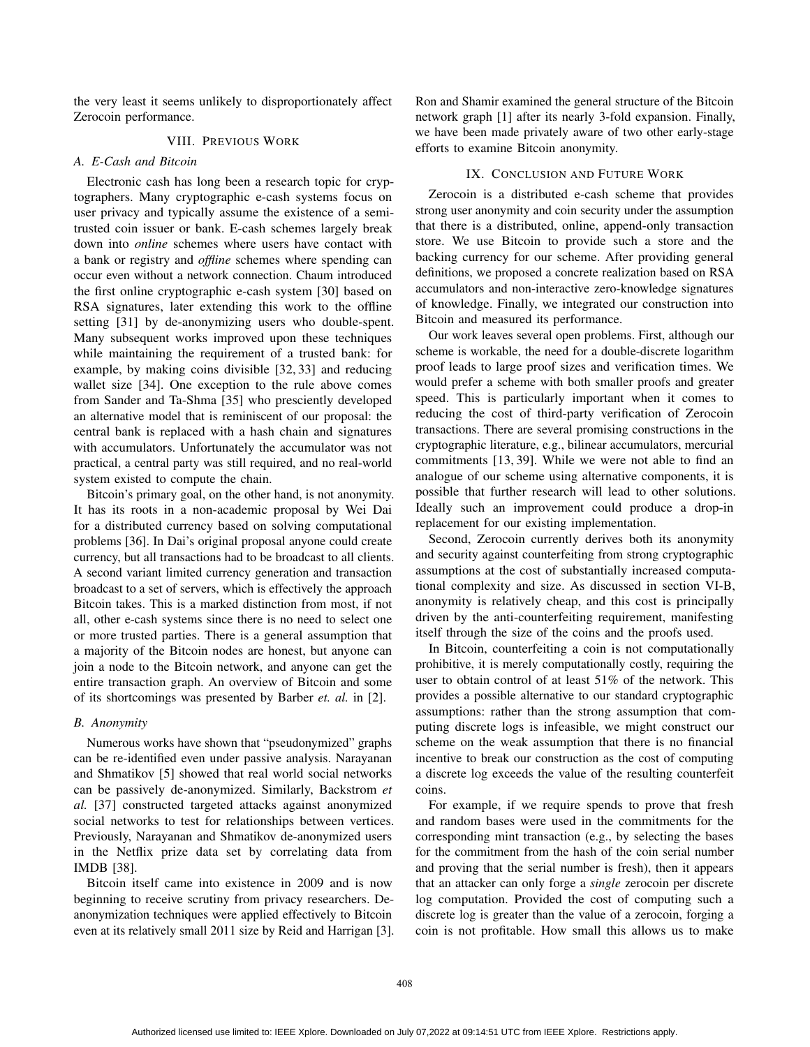the very least it seems unlikely to disproportionately affect Zerocoin performance.

## VIII. PREVIOUS WORK

# *A. E-Cash and Bitcoin*

Electronic cash has long been a research topic for cryptographers. Many cryptographic e-cash systems focus on user privacy and typically assume the existence of a semitrusted coin issuer or bank. E-cash schemes largely break down into *online* schemes where users have contact with a bank or registry and *offline* schemes where spending can occur even without a network connection. Chaum introduced the first online cryptographic e-cash system [30] based on RSA signatures, later extending this work to the offline setting [31] by de-anonymizing users who double-spent. Many subsequent works improved upon these techniques while maintaining the requirement of a trusted bank: for example, by making coins divisible [32, 33] and reducing wallet size [34]. One exception to the rule above comes from Sander and Ta-Shma [35] who presciently developed an alternative model that is reminiscent of our proposal: the central bank is replaced with a hash chain and signatures with accumulators. Unfortunately the accumulator was not practical, a central party was still required, and no real-world system existed to compute the chain.

Bitcoin's primary goal, on the other hand, is not anonymity. It has its roots in a non-academic proposal by Wei Dai for a distributed currency based on solving computational problems [36]. In Dai's original proposal anyone could create currency, but all transactions had to be broadcast to all clients. A second variant limited currency generation and transaction broadcast to a set of servers, which is effectively the approach Bitcoin takes. This is a marked distinction from most, if not all, other e-cash systems since there is no need to select one or more trusted parties. There is a general assumption that a majority of the Bitcoin nodes are honest, but anyone can join a node to the Bitcoin network, and anyone can get the entire transaction graph. An overview of Bitcoin and some of its shortcomings was presented by Barber *et. al.* in [2].

#### *B. Anonymity*

Numerous works have shown that "pseudonymized" graphs can be re-identified even under passive analysis. Narayanan and Shmatikov [5] showed that real world social networks can be passively de-anonymized. Similarly, Backstrom *et al.* [37] constructed targeted attacks against anonymized social networks to test for relationships between vertices. Previously, Narayanan and Shmatikov de-anonymized users in the Netflix prize data set by correlating data from IMDB [38].

Bitcoin itself came into existence in 2009 and is now beginning to receive scrutiny from privacy researchers. Deanonymization techniques were applied effectively to Bitcoin even at its relatively small 2011 size by Reid and Harrigan [3]. Ron and Shamir examined the general structure of the Bitcoin network graph [1] after its nearly 3-fold expansion. Finally, we have been made privately aware of two other early-stage efforts to examine Bitcoin anonymity.

# IX. CONCLUSION AND FUTURE WORK

Zerocoin is a distributed e-cash scheme that provides strong user anonymity and coin security under the assumption that there is a distributed, online, append-only transaction store. We use Bitcoin to provide such a store and the backing currency for our scheme. After providing general definitions, we proposed a concrete realization based on RSA accumulators and non-interactive zero-knowledge signatures of knowledge. Finally, we integrated our construction into Bitcoin and measured its performance.

Our work leaves several open problems. First, although our scheme is workable, the need for a double-discrete logarithm proof leads to large proof sizes and verification times. We would prefer a scheme with both smaller proofs and greater speed. This is particularly important when it comes to reducing the cost of third-party verification of Zerocoin transactions. There are several promising constructions in the cryptographic literature, e.g., bilinear accumulators, mercurial commitments [13, 39]. While we were not able to find an analogue of our scheme using alternative components, it is possible that further research will lead to other solutions. Ideally such an improvement could produce a drop-in replacement for our existing implementation.

Second, Zerocoin currently derives both its anonymity and security against counterfeiting from strong cryptographic assumptions at the cost of substantially increased computational complexity and size. As discussed in section VI-B, anonymity is relatively cheap, and this cost is principally driven by the anti-counterfeiting requirement, manifesting itself through the size of the coins and the proofs used.

In Bitcoin, counterfeiting a coin is not computationally prohibitive, it is merely computationally costly, requiring the user to obtain control of at least 51% of the network. This provides a possible alternative to our standard cryptographic assumptions: rather than the strong assumption that computing discrete logs is infeasible, we might construct our scheme on the weak assumption that there is no financial incentive to break our construction as the cost of computing a discrete log exceeds the value of the resulting counterfeit coins.

For example, if we require spends to prove that fresh and random bases were used in the commitments for the corresponding mint transaction (e.g., by selecting the bases for the commitment from the hash of the coin serial number and proving that the serial number is fresh), then it appears that an attacker can only forge a *single* zerocoin per discrete log computation. Provided the cost of computing such a discrete log is greater than the value of a zerocoin, forging a coin is not profitable. How small this allows us to make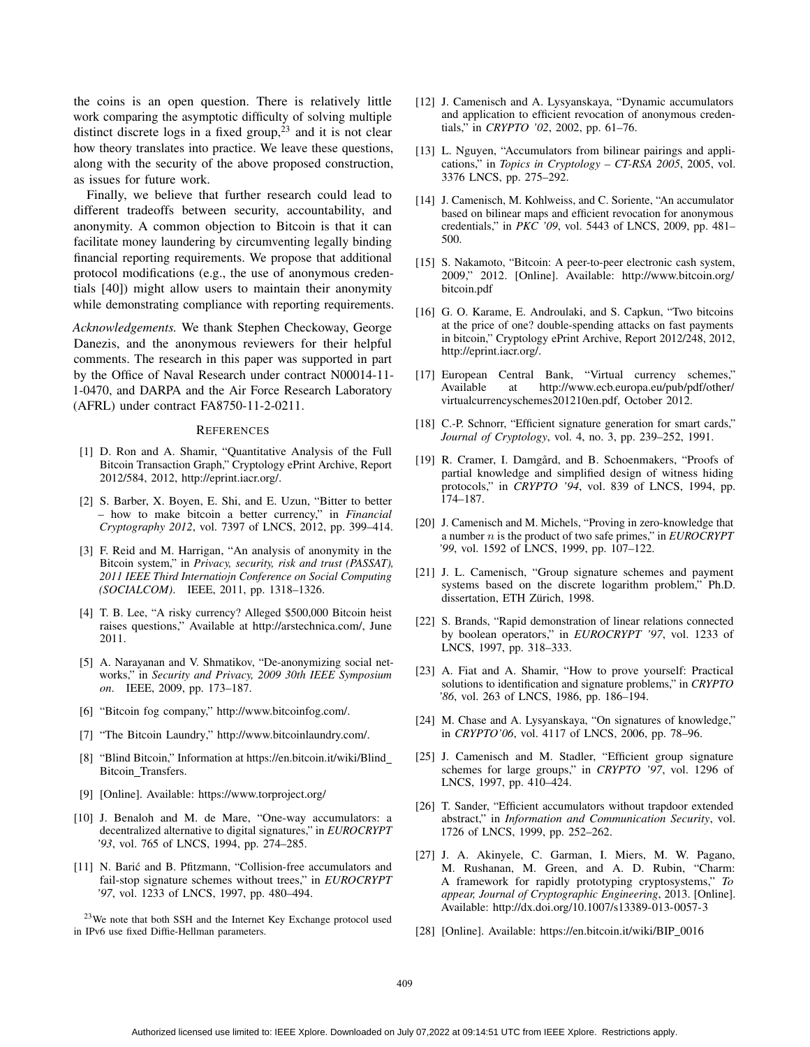the coins is an open question. There is relatively little work comparing the asymptotic difficulty of solving multiple distinct discrete logs in a fixed group,<sup>23</sup> and it is not clear how theory translates into practice. We leave these questions, along with the security of the above proposed construction, as issues for future work.

Finally, we believe that further research could lead to different tradeoffs between security, accountability, and anonymity. A common objection to Bitcoin is that it can facilitate money laundering by circumventing legally binding financial reporting requirements. We propose that additional protocol modifications (e.g., the use of anonymous credentials [40]) might allow users to maintain their anonymity while demonstrating compliance with reporting requirements.

*Acknowledgements.* We thank Stephen Checkoway, George Danezis, and the anonymous reviewers for their helpful comments. The research in this paper was supported in part by the Office of Naval Research under contract N00014-11- 1-0470, and DARPA and the Air Force Research Laboratory (AFRL) under contract FA8750-11-2-0211.

#### **REFERENCES**

- [1] D. Ron and A. Shamir, "Quantitative Analysis of the Full Bitcoin Transaction Graph," Cryptology ePrint Archive, Report 2012/584, 2012, http://eprint.iacr.org/.
- [2] S. Barber, X. Boyen, E. Shi, and E. Uzun, "Bitter to better – how to make bitcoin a better currency," in *Financial Cryptography 2012*, vol. 7397 of LNCS, 2012, pp. 399–414.
- [3] F. Reid and M. Harrigan, "An analysis of anonymity in the Bitcoin system," in *Privacy, security, risk and trust (PASSAT), 2011 IEEE Third Internatiojn Conference on Social Computing (SOCIALCOM)*. IEEE, 2011, pp. 1318–1326.
- [4] T. B. Lee, "A risky currency? Alleged \$500,000 Bitcoin heist raises questions," Available at http://arstechnica.com/, June 2011.
- [5] A. Narayanan and V. Shmatikov, "De-anonymizing social networks," in *Security and Privacy, 2009 30th IEEE Symposium on*. IEEE, 2009, pp. 173–187.
- [6] "Bitcoin fog company," http://www.bitcoinfog.com/.
- [7] "The Bitcoin Laundry," http://www.bitcoinlaundry.com/.
- [8] "Blind Bitcoin," Information at https://en.bitcoin.it/wiki/Blind Bitcoin\_Transfers.
- [9] [Online]. Available: https://www.torproject.org/
- [10] J. Benaloh and M. de Mare, "One-way accumulators: a decentralized alternative to digital signatures," in *EUROCRYPT '93*, vol. 765 of LNCS, 1994, pp. 274–285.
- [11] N. Barić and B. Pfitzmann, "Collision-free accumulators and fail-stop signature schemes without trees," in *EUROCRYPT '97*, vol. 1233 of LNCS, 1997, pp. 480–494.

23We note that both SSH and the Internet Key Exchange protocol used in IPv6 use fixed Diffie-Hellman parameters.

- [12] J. Camenisch and A. Lysyanskaya, "Dynamic accumulators and application to efficient revocation of anonymous credentials," in *CRYPTO '02*, 2002, pp. 61–76.
- [13] L. Nguyen, "Accumulators from bilinear pairings and applications," in *Topics in Cryptology – CT-RSA 2005*, 2005, vol. 3376 LNCS, pp. 275–292.
- [14] J. Camenisch, M. Kohlweiss, and C. Soriente, "An accumulator based on bilinear maps and efficient revocation for anonymous credentials," in *PKC '09*, vol. 5443 of LNCS, 2009, pp. 481– 500.
- [15] S. Nakamoto, "Bitcoin: A peer-to-peer electronic cash system, 2009," 2012. [Online]. Available: http://www.bitcoin.org/ bitcoin.pdf
- [16] G. O. Karame, E. Androulaki, and S. Capkun, "Two bitcoins at the price of one? double-spending attacks on fast payments in bitcoin," Cryptology ePrint Archive, Report 2012/248, 2012, http://eprint.iacr.org/.
- [17] European Central Bank, "Virtual currency schemes," Available at http://www.ecb.europa.eu/pub/pdf/other/ virtualcurrencyschemes201210en.pdf, October 2012.
- [18] C.-P. Schnorr, "Efficient signature generation for smart cards," *Journal of Cryptology*, vol. 4, no. 3, pp. 239–252, 1991.
- [19] R. Cramer, I. Damgård, and B. Schoenmakers, "Proofs of partial knowledge and simplified design of witness hiding protocols," in *CRYPTO '94*, vol. 839 of LNCS, 1994, pp. 174–187.
- [20] J. Camenisch and M. Michels, "Proving in zero-knowledge that a number n is the product of two safe primes," in *EUROCRYPT '99*, vol. 1592 of LNCS, 1999, pp. 107–122.
- [21] J. L. Camenisch, "Group signature schemes and payment systems based on the discrete logarithm problem," Ph.D. dissertation, ETH Zürich, 1998.
- [22] S. Brands, "Rapid demonstration of linear relations connected by boolean operators," in *EUROCRYPT '97*, vol. 1233 of LNCS, 1997, pp. 318–333.
- [23] A. Fiat and A. Shamir, "How to prove yourself: Practical solutions to identification and signature problems," in *CRYPTO '86*, vol. 263 of LNCS, 1986, pp. 186–194.
- [24] M. Chase and A. Lysyanskaya, "On signatures of knowledge," in *CRYPTO'06*, vol. 4117 of LNCS, 2006, pp. 78–96.
- [25] J. Camenisch and M. Stadler, "Efficient group signature schemes for large groups," in *CRYPTO '97*, vol. 1296 of LNCS, 1997, pp. 410–424.
- [26] T. Sander, "Efficient accumulators without trapdoor extended abstract," in *Information and Communication Security*, vol. 1726 of LNCS, 1999, pp. 252–262.
- [27] J. A. Akinyele, C. Garman, I. Miers, M. W. Pagano, M. Rushanan, M. Green, and A. D. Rubin, "Charm: A framework for rapidly prototyping cryptosystems," *To appear, Journal of Cryptographic Engineering*, 2013. [Online]. Available: http://dx.doi.org/10.1007/s13389-013-0057-3
- [28] [Online]. Available: https://en.bitcoin.it/wiki/BIP\_0016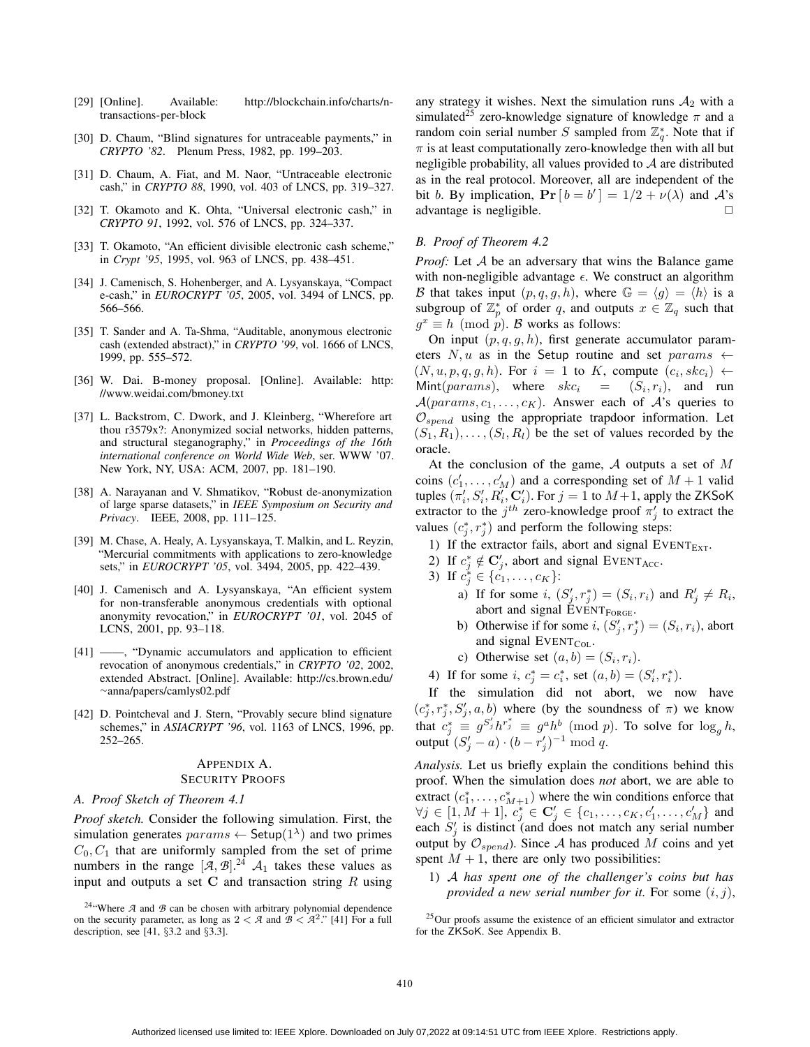- [29] [Online]. Available: http://blockchain.info/charts/ntransactions-per-block
- [30] D. Chaum, "Blind signatures for untraceable payments," in *CRYPTO '82*. Plenum Press, 1982, pp. 199–203.
- [31] D. Chaum, A. Fiat, and M. Naor, "Untraceable electronic cash," in *CRYPTO 88*, 1990, vol. 403 of LNCS, pp. 319–327.
- [32] T. Okamoto and K. Ohta, "Universal electronic cash," in *CRYPTO 91*, 1992, vol. 576 of LNCS, pp. 324–337.
- [33] T. Okamoto, "An efficient divisible electronic cash scheme," in *Crypt '95*, 1995, vol. 963 of LNCS, pp. 438–451.
- [34] J. Camenisch, S. Hohenberger, and A. Lysyanskaya, "Compact e-cash," in *EUROCRYPT '05*, 2005, vol. 3494 of LNCS, pp. 566–566.
- [35] T. Sander and A. Ta-Shma, "Auditable, anonymous electronic cash (extended abstract)," in *CRYPTO '99*, vol. 1666 of LNCS, 1999, pp. 555–572.
- [36] W. Dai. B-money proposal. [Online]. Available: http: //www.weidai.com/bmoney.txt
- [37] L. Backstrom, C. Dwork, and J. Kleinberg, "Wherefore art thou r3579x?: Anonymized social networks, hidden patterns, and structural steganography," in *Proceedings of the 16th international conference on World Wide Web*, ser. WWW '07. New York, NY, USA: ACM, 2007, pp. 181–190.
- [38] A. Narayanan and V. Shmatikov, "Robust de-anonymization of large sparse datasets," in *IEEE Symposium on Security and Privacy*. IEEE, 2008, pp. 111–125.
- [39] M. Chase, A. Healy, A. Lysyanskaya, T. Malkin, and L. Reyzin, "Mercurial commitments with applications to zero-knowledge sets," in *EUROCRYPT '05*, vol. 3494, 2005, pp. 422–439.
- [40] J. Camenisch and A. Lysyanskaya, "An efficient system for non-transferable anonymous credentials with optional anonymity revocation," in *EUROCRYPT '01*, vol. 2045 of LCNS, 2001, pp. 93–118.
- [41] ——, "Dynamic accumulators and application to efficient revocation of anonymous credentials," in *CRYPTO '02*, 2002, extended Abstract. [Online]. Available: http://cs.brown.edu/ <sup>∼</sup>anna/papers/camlys02.pdf
- [42] D. Pointcheval and J. Stern, "Provably secure blind signature schemes," in *ASIACRYPT '96*, vol. 1163 of LNCS, 1996, pp. 252–265.

# APPENDIX A. SECURITY PROOFS

# *A. Proof Sketch of Theorem 4.1*

*Proof sketch.* Consider the following simulation. First, the simulation generates  $params \leftarrow$  Setup $(1^{\lambda})$  and two primes  $C_0, C_1$  that are uniformly sampled from the set of prime numbers in the range  $[A, \mathcal{B}]$ .<sup>24</sup>  $\mathcal{A}_1$  takes these values as input and outputs a set **C** and transaction string R using any strategy it wishes. Next the simulation runs  $A_2$  with a simulated<sup>25</sup> zero-knowledge signature of knowledge  $\pi$  and a random coin serial number S sampled from  $\mathbb{Z}_q^*$ . Note that if  $\pi$  is at least computationally zero-knowledge then with all but negligible probability, all values provided to  $A$  are distributed as in the real protocol. Moreover, all are independent of the bit b. By implication,  $\Pr[b = b'] = 1/2 + \nu(\lambda)$  and  $\mathcal{A}$ 's advantage is negligible.

# *B. Proof of Theorem 4.2*

*Proof:* Let A be an adversary that wins the Balance game with non-negligible advantage  $\epsilon$ . We construct an algorithm B that takes input  $(p, q, q, h)$ , where  $\mathbb{G} = \langle q \rangle = \langle h \rangle$  is a subgroup of  $\mathbb{Z}_p^*$  of order q, and outputs  $x \in \mathbb{Z}_q$  such that  $g^x \equiv h \pmod{p}$ . B works as follows:

On input  $(p, q, g, h)$ , first generate accumulator parameters N, u as in the Setup routine and set params  $\leftarrow$  $(N, u, p, q, g, h)$ . For  $i = 1$  to K, compute  $(c_i, skc_i) \leftarrow$ Mint(params), where  $skc_i = (S_i, r_i)$ , and run  $A(params, c_1, \ldots, c_K)$ . Answer each of A's queries to  $\mathcal{O}_{spend}$  using the appropriate trapdoor information. Let  $(S_1, R_1), \ldots, (S_l, R_l)$  be the set of values recorded by the oracle.

At the conclusion of the game,  $A$  outputs a set of  $M$ coins  $(c'_1, \ldots, c'_M)$  and a corresponding set of  $M + 1$  valid tuples  $(\pi'_i, S'_i, R'_i, C'_i)$ . For  $j = 1$  to  $M+1$ , apply the ZKSoK extractor to the  $j^{th}$  zero-knowledge proof  $\pi'_j$  to extract the values  $(c_j^*, r_j^*)$  and perform the following steps:

- 1) If the extractor fails, abort and signal  $EVENT_{EXT}$ .
- 2) If  $c_j^* \notin \mathbf{C}'_j$ , abort and signal EVENT<sub>Acc</sub>.
- 3) If  $c_j^* \in \{c_1, \ldots, c_K\}$ :
	- a) If for some i,  $(S'_j, r^*_j) = (S_i, r_i)$  and  $R'_j \neq R_i$ , abort and signal  $\text{E}}_{\text{VENT}_{\text{FORGE}}}.$
	- b) Otherwise if for some  $i, (S'_j, r^*_j) = (S_i, r_i)$ , abort and signal  $EVENT_{COL}$ .
	- c) Otherwise set  $(a, b) = (S_i, r_i)$ .
- 4) If for some *i*,  $c_j^* = c_i^*$ , set  $(a, b) = (S_i', r_i^*)$ .

If the simulation did not abort, we now have  $(c_j^*, r_j^*, S_j', a, b)$  where (by the soundness of  $\pi$ ) we know that  $c_j^* \equiv g^{S'_j} h^{r_j^*} \equiv g^a h^b \pmod{p}$ . To solve for  $\log_g h$ , output  $(S'_j - a) \cdot (b - r'_j)^{-1} \mod q$ .

*Analysis.* Let us briefly explain the conditions behind this proof. When the simulation does *not* abort, we are able to extract  $(c_1^*, \ldots, c_{M+1}^*)$  where the win conditions enforce that ∀*j* ∈ [1, *M* + 1],  $c_j^*$  ∈  $\mathbf{C}'_j$  ∈ { $c_1, ..., c_K, c'_1, ..., c'_M$ } and each  $S'_{j}$  is distinct (and does not match any serial number output by  $\mathcal{O}_{spend}$ ). Since A has produced M coins and yet spent  $M + 1$ , there are only two possibilities:

1) A *has spent one of the challenger's coins but has provided a new serial number for it.* For some  $(i, j)$ ,

<sup>&</sup>lt;sup>24"</sup>Where  $\mathcal A$  and  $\mathcal B$  can be chosen with arbitrary polynomial dependence on the security parameter, as long as  $2 < A$  and  $B < A<sup>2</sup>$ ." [41] For a full description, see [41, §3.2 and §3.3].

<sup>25</sup>Our proofs assume the existence of an efficient simulator and extractor for the ZKSoK. See Appendix B.